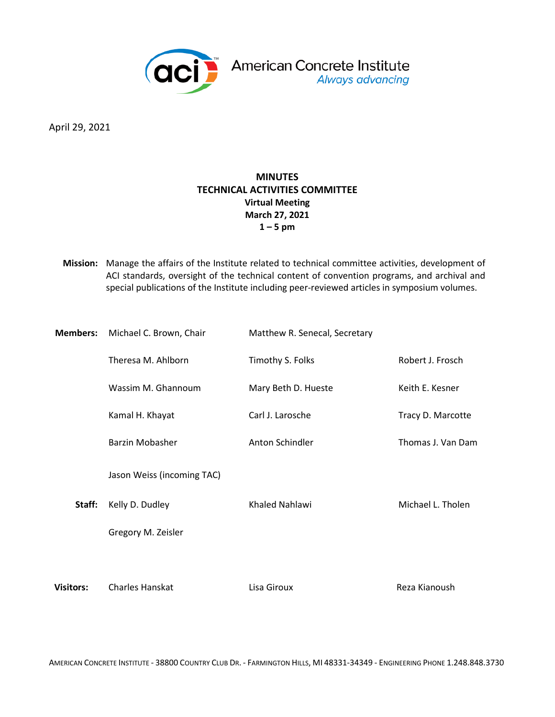

April 29, 2021

# **MINUTES TECHNICAL ACTIVITIES COMMITTEE Virtual Meeting March 27, 2021 1 – 5 pm**

**Mission:** Manage the affairs of the Institute related to technical committee activities, development of ACI standards, oversight of the technical content of convention programs, and archival and special publications of the Institute including peer-reviewed articles in symposium volumes.

| <b>Members:</b>  | Michael C. Brown, Chair    | Matthew R. Senecal, Secretary |                   |
|------------------|----------------------------|-------------------------------|-------------------|
|                  | Theresa M. Ahlborn         | Timothy S. Folks              | Robert J. Frosch  |
|                  | Wassim M. Ghannoum         | Mary Beth D. Hueste           | Keith E. Kesner   |
|                  | Kamal H. Khayat            | Carl J. Larosche              | Tracy D. Marcotte |
|                  | <b>Barzin Mobasher</b>     | Anton Schindler               | Thomas J. Van Dam |
|                  | Jason Weiss (incoming TAC) |                               |                   |
| Staff:           | Kelly D. Dudley            | Khaled Nahlawi                | Michael L. Tholen |
|                  | Gregory M. Zeisler         |                               |                   |
|                  |                            |                               |                   |
| <b>Visitors:</b> | Charles Hanskat            | Lisa Giroux                   | Reza Kianoush     |

AMERICAN CONCRETE INSTITUTE - 38800 COUNTRY CLUB DR. - FARMINGTON HILLS, MI 48331-34349 - ENGINEERING PHONE 1.248.848.3730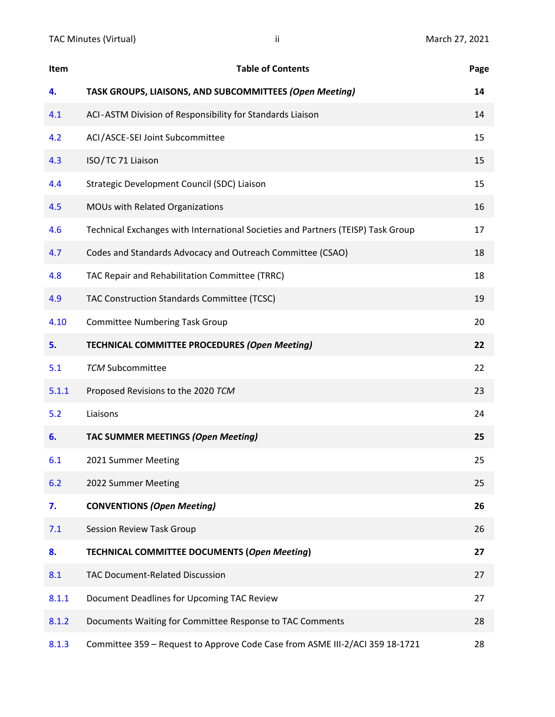| Item  | <b>Table of Contents</b>                                                         | Page |
|-------|----------------------------------------------------------------------------------|------|
| 4.    | TASK GROUPS, LIAISONS, AND SUBCOMMITTEES (Open Meeting)                          | 14   |
| 4.1   | ACI-ASTM Division of Responsibility for Standards Liaison                        | 14   |
| 4.2   | ACI/ASCE-SEI Joint Subcommittee                                                  | 15   |
| 4.3   | ISO/TC 71 Liaison                                                                | 15   |
| 4.4   | Strategic Development Council (SDC) Liaison                                      | 15   |
| 4.5   | MOUs with Related Organizations                                                  | 16   |
| 4.6   | Technical Exchanges with International Societies and Partners (TEISP) Task Group | 17   |
| 4.7   | Codes and Standards Advocacy and Outreach Committee (CSAO)                       | 18   |
| 4.8   | TAC Repair and Rehabilitation Committee (TRRC)                                   | 18   |
| 4.9   | TAC Construction Standards Committee (TCSC)                                      | 19   |
| 4.10  | <b>Committee Numbering Task Group</b>                                            | 20   |
| 5.    | TECHNICAL COMMITTEE PROCEDURES (Open Meeting)                                    | 22   |
| 5.1   | <b>TCM Subcommittee</b>                                                          | 22   |
| 5.1.1 | Proposed Revisions to the 2020 TCM                                               | 23   |
| 5.2   | Liaisons                                                                         | 24   |
| 6.    | TAC SUMMER MEETINGS (Open Meeting)                                               | 25   |
| 6.1   | 2021 Summer Meeting                                                              | 25   |
| 6.2   | 2022 Summer Meeting                                                              | 25   |
| 7.    | <b>CONVENTIONS (Open Meeting)</b>                                                | 26   |
| 7.1   | Session Review Task Group                                                        | 26   |
| 8.    | <b>TECHNICAL COMMITTEE DOCUMENTS (Open Meeting)</b>                              | 27   |
| 8.1   | <b>TAC Document-Related Discussion</b>                                           | 27   |
| 8.1.1 | Document Deadlines for Upcoming TAC Review                                       | 27   |
| 8.1.2 | Documents Waiting for Committee Response to TAC Comments                         | 28   |
| 8.1.3 | Committee 359 - Request to Approve Code Case from ASME III-2/ACI 359 18-1721     | 28   |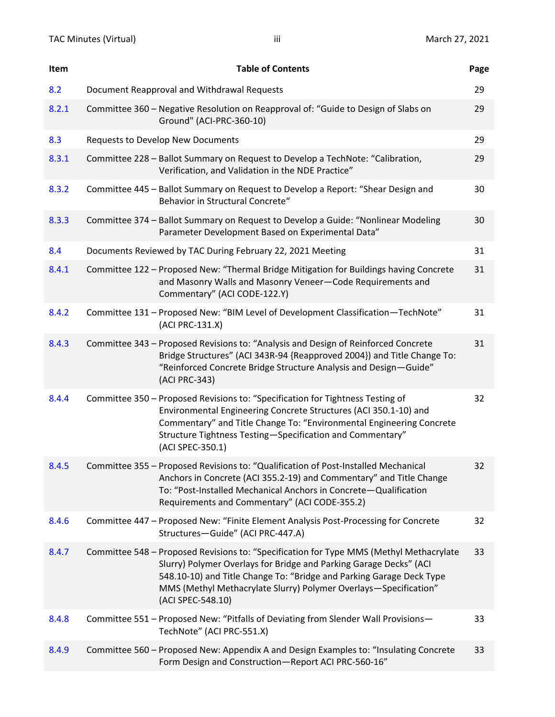|     | Item  | <b>Table of Contents</b>                                                                                                                                                                                                                                                                                                       | Page |
|-----|-------|--------------------------------------------------------------------------------------------------------------------------------------------------------------------------------------------------------------------------------------------------------------------------------------------------------------------------------|------|
| 8.2 |       | Document Reapproval and Withdrawal Requests                                                                                                                                                                                                                                                                                    | 29   |
|     | 8.2.1 | Committee 360 - Negative Resolution on Reapproval of: "Guide to Design of Slabs on<br>Ground" (ACI-PRC-360-10)                                                                                                                                                                                                                 | 29   |
| 8.3 |       | <b>Requests to Develop New Documents</b>                                                                                                                                                                                                                                                                                       | 29   |
|     | 8.3.1 | Committee 228 - Ballot Summary on Request to Develop a TechNote: "Calibration,<br>Verification, and Validation in the NDE Practice"                                                                                                                                                                                            | 29   |
|     | 8.3.2 | Committee 445 - Ballot Summary on Request to Develop a Report: "Shear Design and<br>Behavior in Structural Concrete"                                                                                                                                                                                                           | 30   |
|     | 8.3.3 | Committee 374 - Ballot Summary on Request to Develop a Guide: "Nonlinear Modeling<br>Parameter Development Based on Experimental Data"                                                                                                                                                                                         | 30   |
| 8.4 |       | Documents Reviewed by TAC During February 22, 2021 Meeting                                                                                                                                                                                                                                                                     | 31   |
|     | 8.4.1 | Committee 122 - Proposed New: "Thermal Bridge Mitigation for Buildings having Concrete<br>and Masonry Walls and Masonry Veneer-Code Requirements and<br>Commentary" (ACI CODE-122.Y)                                                                                                                                           | 31   |
|     | 8.4.2 | Committee 131 - Proposed New: "BIM Level of Development Classification-TechNote"<br>(ACI PRC-131.X)                                                                                                                                                                                                                            | 31   |
|     | 8.4.3 | Committee 343 - Proposed Revisions to: "Analysis and Design of Reinforced Concrete<br>Bridge Structures" (ACI 343R-94 {Reapproved 2004}) and Title Change To:<br>"Reinforced Concrete Bridge Structure Analysis and Design-Guide"<br>(ACI PRC-343)                                                                             | 31   |
|     | 8.4.4 | Committee 350 - Proposed Revisions to: "Specification for Tightness Testing of<br>Environmental Engineering Concrete Structures (ACI 350.1-10) and<br>Commentary" and Title Change To: "Environmental Engineering Concrete<br>Structure Tightness Testing-Specification and Commentary"<br>(ACI SPEC-350.1)                    | 32   |
|     | 8.4.5 | Committee 355 - Proposed Revisions to: "Qualification of Post-Installed Mechanical<br>Anchors in Concrete (ACI 355.2-19) and Commentary" and Title Change<br>To: "Post-Installed Mechanical Anchors in Concrete-Qualification<br>Requirements and Commentary" (ACI CODE-355.2)                                                 | 32   |
|     | 8.4.6 | Committee 447 - Proposed New: "Finite Element Analysis Post-Processing for Concrete<br>Structures-Guide" (ACI PRC-447.A)                                                                                                                                                                                                       | 32   |
|     | 8.4.7 | Committee 548 - Proposed Revisions to: "Specification for Type MMS (Methyl Methacrylate<br>Slurry) Polymer Overlays for Bridge and Parking Garage Decks" (ACI<br>548.10-10) and Title Change To: "Bridge and Parking Garage Deck Type<br>MMS (Methyl Methacrylate Slurry) Polymer Overlays-Specification"<br>(ACI SPEC-548.10) | 33   |
|     | 8.4.8 | Committee 551 - Proposed New: "Pitfalls of Deviating from Slender Wall Provisions-<br>TechNote" (ACI PRC-551.X)                                                                                                                                                                                                                | 33   |
|     | 8.4.9 | Committee 560 - Proposed New: Appendix A and Design Examples to: "Insulating Concrete<br>Form Design and Construction-Report ACI PRC-560-16"                                                                                                                                                                                   | 33   |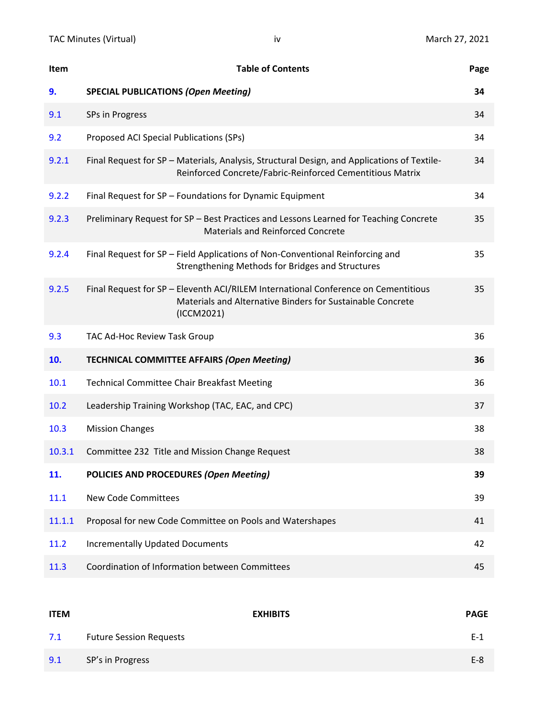| Item   | <b>Table of Contents</b>                                                                                                                                       | Page |
|--------|----------------------------------------------------------------------------------------------------------------------------------------------------------------|------|
| 9.     | <b>SPECIAL PUBLICATIONS (Open Meeting)</b>                                                                                                                     | 34   |
| 9.1    | SPs in Progress                                                                                                                                                | 34   |
| 9.2    | Proposed ACI Special Publications (SPs)                                                                                                                        | 34   |
| 9.2.1  | Final Request for SP - Materials, Analysis, Structural Design, and Applications of Textile-<br>Reinforced Concrete/Fabric-Reinforced Cementitious Matrix       | 34   |
| 9.2.2  | Final Request for SP - Foundations for Dynamic Equipment                                                                                                       | 34   |
| 9.2.3  | Preliminary Request for SP - Best Practices and Lessons Learned for Teaching Concrete<br><b>Materials and Reinforced Concrete</b>                              | 35   |
| 9.2.4  | Final Request for SP - Field Applications of Non-Conventional Reinforcing and<br>Strengthening Methods for Bridges and Structures                              | 35   |
| 9.2.5  | Final Request for SP - Eleventh ACI/RILEM International Conference on Cementitious<br>Materials and Alternative Binders for Sustainable Concrete<br>(ICCM2021) | 35   |
| 9.3    | TAC Ad-Hoc Review Task Group                                                                                                                                   | 36   |
| 10.    | <b>TECHNICAL COMMITTEE AFFAIRS (Open Meeting)</b>                                                                                                              | 36   |
| 10.1   | <b>Technical Committee Chair Breakfast Meeting</b>                                                                                                             | 36   |
| 10.2   | Leadership Training Workshop (TAC, EAC, and CPC)                                                                                                               | 37   |
| 10.3   | <b>Mission Changes</b>                                                                                                                                         | 38   |
| 10.3.1 | Committee 232 Title and Mission Change Request                                                                                                                 | 38   |
| 11.    | POLICIES AND PROCEDURES (Open Meeting)                                                                                                                         | 39   |
| 11.1   | <b>New Code Committees</b>                                                                                                                                     | 39   |
| 11.1.1 | Proposal for new Code Committee on Pools and Watershapes                                                                                                       | 41   |
| 11.2   | <b>Incrementally Updated Documents</b>                                                                                                                         | 42   |
| 11.3   | Coordination of Information between Committees                                                                                                                 | 45   |

| <b>ITEM</b> |                                | <b>EXHIBITS</b> | <b>PAGE</b> |
|-------------|--------------------------------|-----------------|-------------|
| 7.1         | <b>Future Session Requests</b> |                 | E-1         |
| 9.1         | SP's in Progress               |                 | $E-8$       |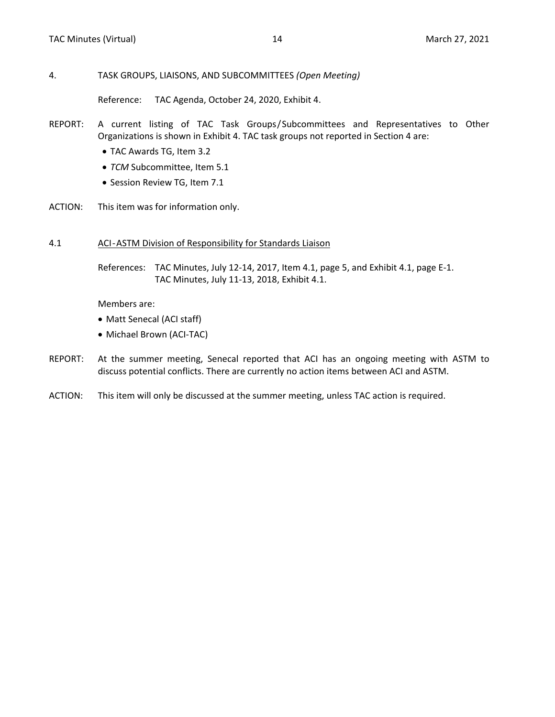#### <span id="page-4-0"></span>4. TASK GROUPS, LIAISONS, AND SUBCOMMITTEES *(Open Meeting)*

Reference: TAC Agenda, October 24, 2020, Exhibit 4.

- REPORT: A current listing of TAC Task Groups/Subcommittees and Representatives to Other Organizations is shown in Exhibit 4. TAC task groups not reported in Section 4 are:
	- TAC Awards TG, Item 3.2
	- *TCM* Subcommittee, Item 5.1
	- Session Review TG, Item 7.1
- ACTION: This item was for information only.

#### 4.1 ACI-ASTM Division of Responsibility for Standards Liaison

References: TAC Minutes, July 12-14, 2017, Item 4.1, page 5, and Exhibit 4.1, page E-1. TAC Minutes, July 11-13, 2018, Exhibit 4.1.

Members are:

- Matt Senecal (ACI staff)
- Michael Brown (ACI-TAC)
- REPORT: At the summer meeting, Senecal reported that ACI has an ongoing meeting with ASTM to discuss potential conflicts. There are currently no action items between ACI and ASTM.
- ACTION: This item will only be discussed at the summer meeting, unless TAC action is required.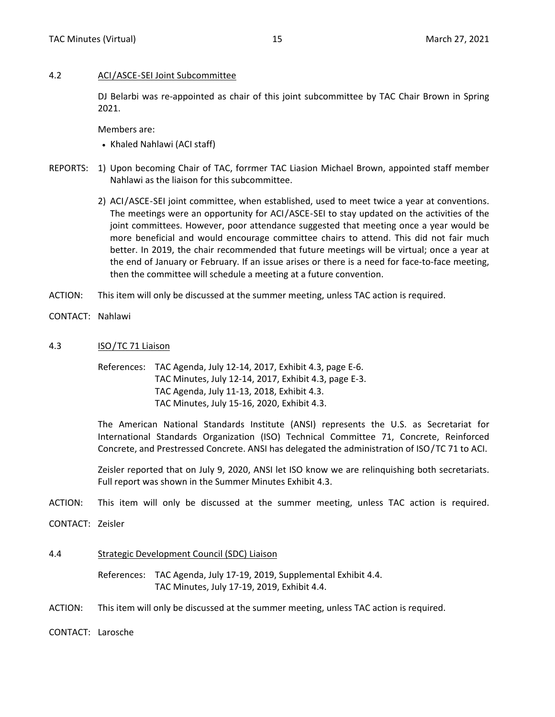#### <span id="page-5-0"></span>4.2 ACI/ASCE-SEI Joint Subcommittee

DJ Belarbi was re-appointed as chair of this joint subcommittee by TAC Chair Brown in Spring 2021.

Members are:

• Khaled Nahlawi (ACI staff)

- REPORTS: 1) Upon becoming Chair of TAC, forrmer TAC Liasion Michael Brown, appointed staff member Nahlawi as the liaison for this subcommittee.
	- 2) ACI/ASCE-SEI joint committee, when established, used to meet twice a year at conventions. The meetings were an opportunity for ACI/ASCE-SEI to stay updated on the activities of the joint committees. However, poor attendance suggested that meeting once a year would be more beneficial and would encourage committee chairs to attend. This did not fair much better. In 2019, the chair recommended that future meetings will be virtual; once a year at the end of January or February. If an issue arises or there is a need for face-to-face meeting, then the committee will schedule a meeting at a future convention.
- ACTION: This item will only be discussed at the summer meeting, unless TAC action is required.
- CONTACT: Nahlawi
- 4.3 ISO/TC 71 Liaison
	- References: TAC Agenda, July 12-14, 2017, Exhibit 4.3, page E-6. TAC Minutes, July 12-14, 2017, Exhibit 4.3, page E-3. TAC Agenda, July 11-13, 2018, Exhibit 4.3. TAC Minutes, July 15-16, 2020, Exhibit 4.3.

The American National Standards Institute (ANSI) represents the U.S. as Secretariat for International Standards Organization (ISO) Technical Committee 71, Concrete, Reinforced Concrete, and Prestressed Concrete. ANSI has delegated the administration of ISO/TC 71 to ACI.

Zeisler reported that on July 9, 2020, ANSI let ISO know we are relinquishing both secretariats. Full report was shown in the Summer Minutes Exhibit 4.3.

- ACTION: This item will only be discussed at the summer meeting, unless TAC action is required.
- CONTACT: Zeisler
- 4.4 Strategic Development Council (SDC) Liaison

References: TAC Agenda, July 17-19, 2019, Supplemental Exhibit 4.4. TAC Minutes, July 17-19, 2019, Exhibit 4.4.

ACTION: This item will only be discussed at the summer meeting, unless TAC action is required.

CONTACT: Larosche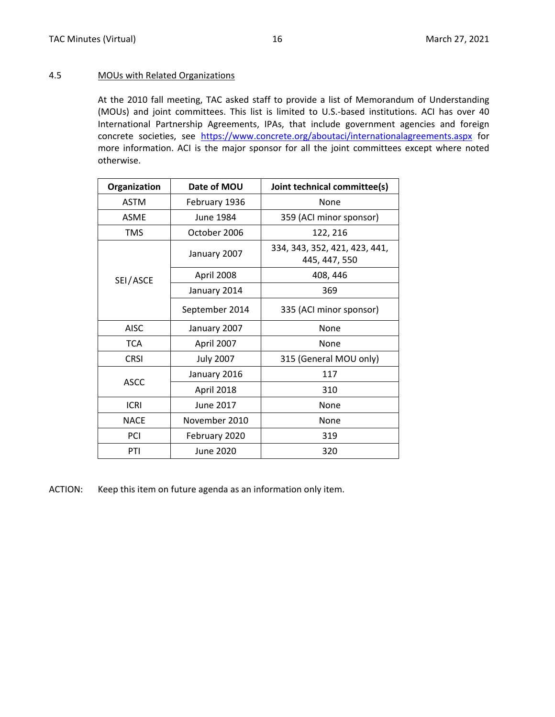#### <span id="page-6-0"></span>4.5 MOUs with Related Organizations

At the 2010 fall meeting, TAC asked staff to provide a list of Memorandum of Understanding (MOUs) and joint committees. This list is limited to U.S.-based institutions. ACI has over 40 International Partnership Agreements, IPAs, that include government agencies and foreign concrete societies, see <https://www.concrete.org/aboutaci/internationalagreements.aspx> for more information. ACI is the major sponsor for all the joint committees except where noted otherwise.

| Organization | Date of MOU      | Joint technical committee(s)                   |
|--------------|------------------|------------------------------------------------|
| <b>ASTM</b>  | February 1936    | None                                           |
| <b>ASME</b>  | June 1984        | 359 (ACI minor sponsor)                        |
| <b>TMS</b>   | October 2006     | 122, 216                                       |
|              | January 2007     | 334, 343, 352, 421, 423, 441,<br>445, 447, 550 |
| SEI/ASCE     | April 2008       | 408, 446                                       |
|              | January 2014     | 369                                            |
|              | September 2014   | 335 (ACI minor sponsor)                        |
| <b>AISC</b>  | January 2007     | None                                           |
| <b>TCA</b>   | April 2007       | None                                           |
| <b>CRSI</b>  | <b>July 2007</b> | 315 (General MOU only)                         |
|              | January 2016     | 117                                            |
| <b>ASCC</b>  | April 2018       | 310                                            |
| <b>ICRI</b>  | June 2017        | None                                           |
| <b>NACE</b>  | November 2010    | None                                           |
| PCI          | February 2020    | 319                                            |
| PTI          | June 2020        | 320                                            |

ACTION: Keep this item on future agenda as an information only item.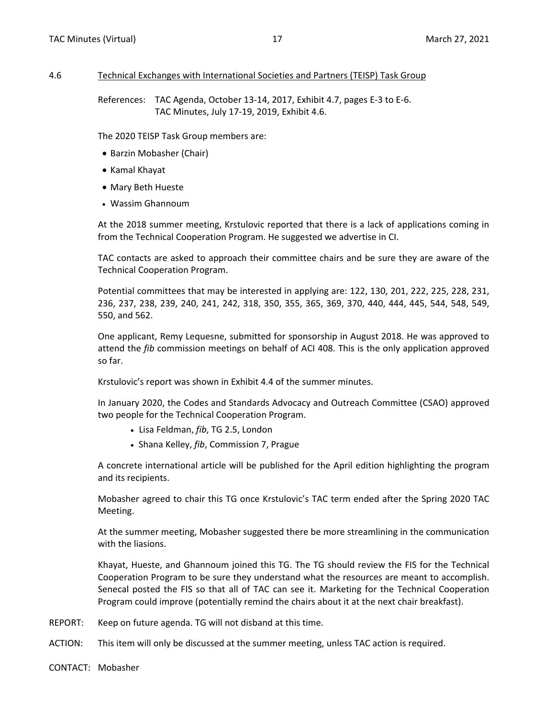#### <span id="page-7-0"></span>4.6 Technical Exchanges with International Societies and Partners (TEISP) Task Group

References: TAC Agenda, October 13-14, 2017, Exhibit 4.7, pages E-3 to E-6. TAC Minutes, July 17-19, 2019, Exhibit 4.6.

The 2020 TEISP Task Group members are:

- Barzin Mobasher (Chair)
- Kamal Khayat
- Mary Beth Hueste
- Wassim Ghannoum

At the 2018 summer meeting, Krstulovic reported that there is a lack of applications coming in from the Technical Cooperation Program. He suggested we advertise in CI.

TAC contacts are asked to approach their committee chairs and be sure they are aware of the Technical Cooperation Program.

Potential committees that may be interested in applying are: 122, 130, 201, 222, 225, 228, 231, 236, 237, 238, 239, 240, 241, 242, 318, 350, 355, 365, 369, 370, 440, 444, 445, 544, 548, 549, 550, and 562.

One applicant, Remy Lequesne, submitted for sponsorship in August 2018. He was approved to attend the *fib* commission meetings on behalf of ACI 408. This is the only application approved so far.

Krstulovic's report was shown in Exhibit 4.4 of the summer minutes.

In January 2020, the Codes and Standards Advocacy and Outreach Committee (CSAO) approved two people for the Technical Cooperation Program.

- Lisa Feldman, *fib*, TG 2.5, London
- Shana Kelley, *fib*, Commission 7, Prague

A concrete international article will be published for the April edition highlighting the program and its recipients.

Mobasher agreed to chair this TG once Krstulovic's TAC term ended after the Spring 2020 TAC Meeting.

At the summer meeting, Mobasher suggested there be more streamlining in the communication with the liasions.

Khayat, Hueste, and Ghannoum joined this TG. The TG should review the FIS for the Technical Cooperation Program to be sure they understand what the resources are meant to accomplish. Senecal posted the FIS so that all of TAC can see it. Marketing for the Technical Cooperation Program could improve (potentially remind the chairs about it at the next chair breakfast).

- REPORT: Keep on future agenda. TG will not disband at this time.
- ACTION: This item will only be discussed at the summer meeting, unless TAC action is required.
- CONTACT: Mobasher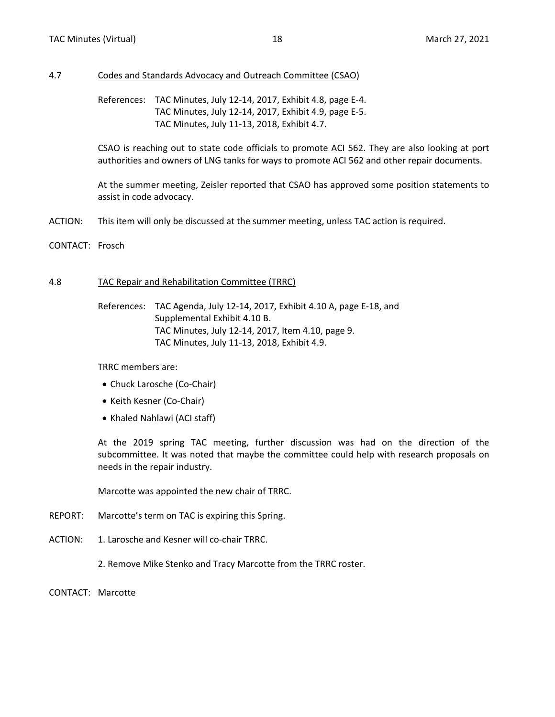#### <span id="page-8-0"></span>4.7 Codes and Standards Advocacy and Outreach Committee (CSAO)

References: TAC Minutes, July 12-14, 2017, Exhibit 4.8, page E-4. TAC Minutes, July 12-14, 2017, Exhibit 4.9, page E-5. TAC Minutes, July 11-13, 2018, Exhibit 4.7.

CSAO is reaching out to state code officials to promote ACI 562. They are also looking at port authorities and owners of LNG tanks for ways to promote ACI 562 and other repair documents.

At the summer meeting, Zeisler reported that CSAO has approved some position statements to assist in code advocacy.

- ACTION: This item will only be discussed at the summer meeting, unless TAC action is required.
- CONTACT: Frosch

#### 4.8 TAC Repair and Rehabilitation Committee (TRRC)

References: TAC Agenda, July 12-14, 2017, Exhibit 4.10 A, page E-18, and Supplemental Exhibit 4.10 B. TAC Minutes, July 12-14, 2017, Item 4.10, page 9. TAC Minutes, July 11-13, 2018, Exhibit 4.9.

TRRC members are:

- Chuck Larosche (Co-Chair)
- Keith Kesner (Co-Chair)
- Khaled Nahlawi (ACI staff)

At the 2019 spring TAC meeting, further discussion was had on the direction of the subcommittee. It was noted that maybe the committee could help with research proposals on needs in the repair industry.

Marcotte was appointed the new chair of TRRC.

- REPORT: Marcotte's term on TAC is expiring this Spring.
- ACTION: 1. Larosche and Kesner will co-chair TRRC.

2. Remove Mike Stenko and Tracy Marcotte from the TRRC roster.

CONTACT: Marcotte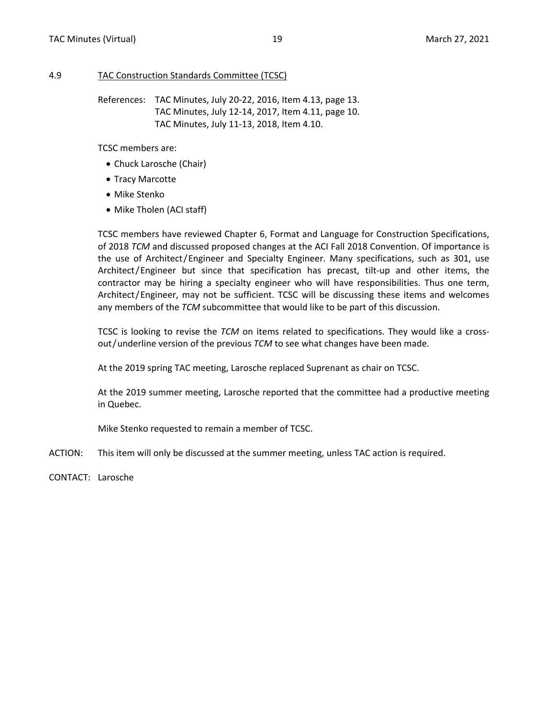#### <span id="page-9-0"></span>4.9 TAC Construction Standards Committee (TCSC)

References: TAC Minutes, July 20-22, 2016, Item 4.13, page 13. TAC Minutes, July 12-14, 2017, Item 4.11, page 10. TAC Minutes, July 11-13, 2018, Item 4.10.

TCSC members are:

- Chuck Larosche (Chair)
- Tracy Marcotte
- Mike Stenko
- Mike Tholen (ACI staff)

TCSC members have reviewed Chapter 6, Format and Language for Construction Specifications, of 2018 *TCM* and discussed proposed changes at the ACI Fall 2018 Convention. Of importance is the use of Architect/Engineer and Specialty Engineer. Many specifications, such as 301, use Architect/Engineer but since that specification has precast, tilt-up and other items, the contractor may be hiring a specialty engineer who will have responsibilities. Thus one term, Architect/Engineer, may not be sufficient. TCSC will be discussing these items and welcomes any members of the *TCM* subcommittee that would like to be part of this discussion.

TCSC is looking to revise the *TCM* on items related to specifications. They would like a crossout/underline version of the previous *TCM* to see what changes have been made.

At the 2019 spring TAC meeting, Larosche replaced Suprenant as chair on TCSC.

At the 2019 summer meeting, Larosche reported that the committee had a productive meeting in Quebec.

Mike Stenko requested to remain a member of TCSC.

- ACTION: This item will only be discussed at the summer meeting, unless TAC action is required.
- CONTACT: Larosche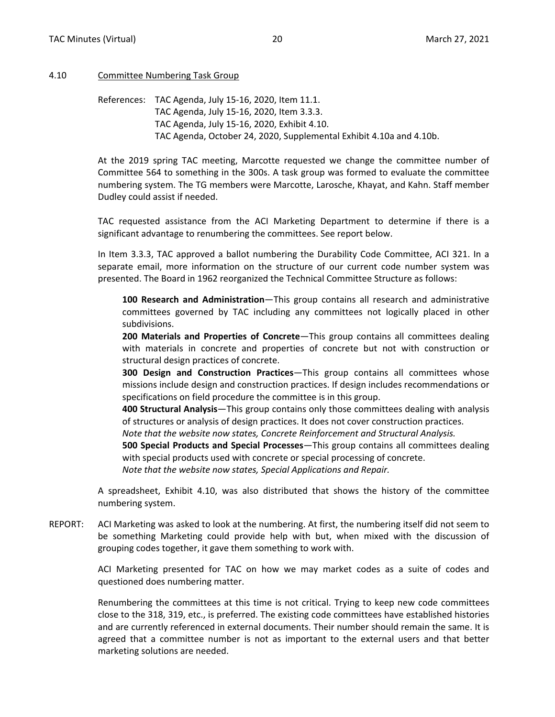#### <span id="page-10-0"></span>4.10 Committee Numbering Task Group

References: TAC Agenda, July 15-16, 2020, Item 11.1. TAC Agenda, July 15-16, 2020, Item 3.3.3. TAC Agenda, July 15-16, 2020, Exhibit 4.10. TAC Agenda, October 24, 2020, Supplemental Exhibit 4.10a and 4.10b.

At the 2019 spring TAC meeting, Marcotte requested we change the committee number of Committee 564 to something in the 300s. A task group was formed to evaluate the committee numbering system. The TG members were Marcotte, Larosche, Khayat, and Kahn. Staff member Dudley could assist if needed.

TAC requested assistance from the ACI Marketing Department to determine if there is a significant advantage to renumbering the committees. See report below.

In Item 3.3.3, TAC approved a ballot numbering the Durability Code Committee, ACI 321. In a separate email, more information on the structure of our current code number system was presented. The Board in 1962 reorganized the Technical Committee Structure as follows:

**100 Research and Administration**—This group contains all research and administrative committees governed by TAC including any committees not logically placed in other subdivisions.

**200 Materials and Properties of Concrete**—This group contains all committees dealing with materials in concrete and properties of concrete but not with construction or structural design practices of concrete.

**300 Design and Construction Practices**—This group contains all committees whose missions include design and construction practices. If design includes recommendations or specifications on field procedure the committee is in this group.

**400 Structural Analysis**—This group contains only those committees dealing with analysis of structures or analysis of design practices. It does not cover construction practices.

*Note that the website now states, Concrete Reinforcement and Structural Analysis.*

**500 Special Products and Special Processes**—This group contains all committees dealing with special products used with concrete or special processing of concrete.

*Note that the website now states, Special Applications and Repair.*

A spreadsheet, Exhibit 4.10, was also distributed that shows the history of the committee numbering system.

REPORT: ACI Marketing was asked to look at the numbering. At first, the numbering itself did not seem to be something Marketing could provide help with but, when mixed with the discussion of grouping codes together, it gave them something to work with.

> ACI Marketing presented for TAC on how we may market codes as a suite of codes and questioned does numbering matter.

> Renumbering the committees at this time is not critical. Trying to keep new code committees close to the 318, 319, etc., is preferred. The existing code committees have established histories and are currently referenced in external documents. Their number should remain the same. It is agreed that a committee number is not as important to the external users and that better marketing solutions are needed.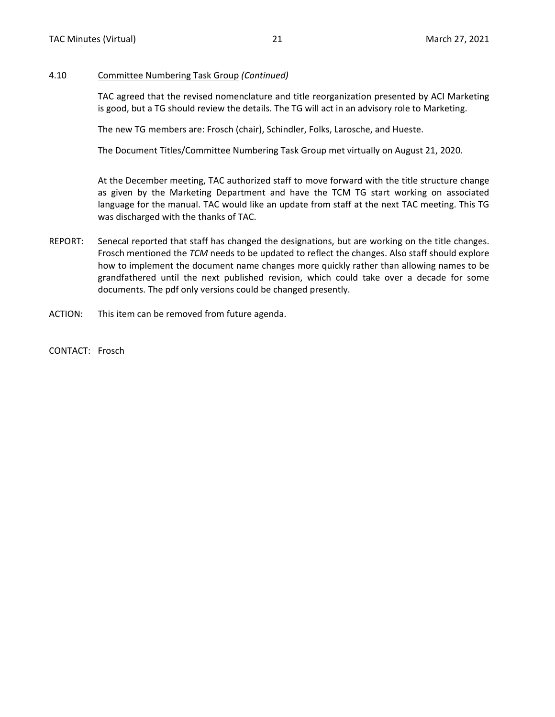#### 4.10 Committee Numbering Task Group *(Continued)*

TAC agreed that the revised nomenclature and title reorganization presented by ACI Marketing is good, but a TG should review the details. The TG will act in an advisory role to Marketing.

The new TG members are: Frosch (chair), Schindler, Folks, Larosche, and Hueste.

The Document Titles/Committee Numbering Task Group met virtually on August 21, 2020.

At the December meeting, TAC authorized staff to move forward with the title structure change as given by the Marketing Department and have the TCM TG start working on associated language for the manual. TAC would like an update from staff at the next TAC meeting. This TG was discharged with the thanks of TAC.

- REPORT: Senecal reported that staff has changed the designations, but are working on the title changes. Frosch mentioned the *TCM* needs to be updated to reflect the changes. Also staff should explore how to implement the document name changes more quickly rather than allowing names to be grandfathered until the next published revision, which could take over a decade for some documents. The pdf only versions could be changed presently.
- ACTION: This item can be removed from future agenda.

CONTACT: Frosch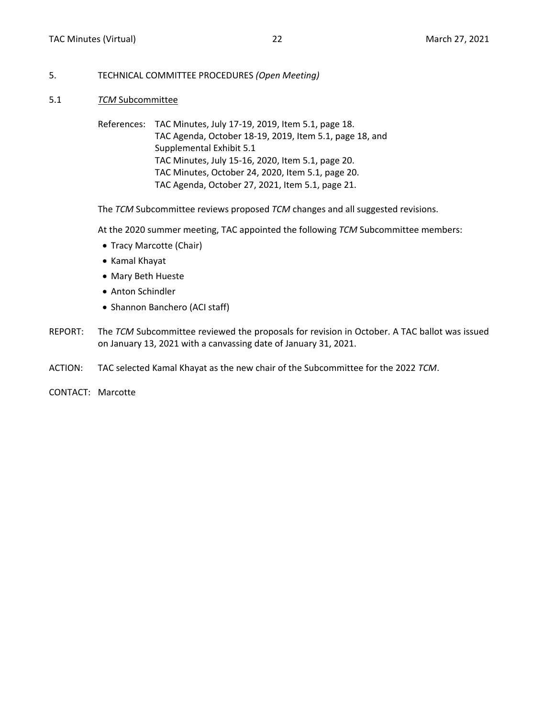#### <span id="page-12-0"></span>5. TECHNICAL COMMITTEE PROCEDURES *(Open Meeting)*

- 5.1 *TCM* Subcommittee
	- References: TAC Minutes, July 17-19, 2019, Item 5.1, page 18. TAC Agenda, October 18-19, 2019, Item 5.1, page 18, and Supplemental Exhibit 5.1 TAC Minutes, July 15-16, 2020, Item 5.1, page 20. TAC Minutes, October 24, 2020, Item 5.1, page 20. TAC Agenda, October 27, 2021, Item 5.1, page 21.

The *TCM* Subcommittee reviews proposed *TCM* changes and all suggested revisions.

At the 2020 summer meeting, TAC appointed the following *TCM* Subcommittee members:

- Tracy Marcotte (Chair)
- Kamal Khayat
- Mary Beth Hueste
- Anton Schindler
- Shannon Banchero (ACI staff)
- REPORT: The *TCM* Subcommittee reviewed the proposals for revision in October. A TAC ballot was issued on January 13, 2021 with a canvassing date of January 31, 2021.
- ACTION: TAC selected Kamal Khayat as the new chair of the Subcommittee for the 2022 *TCM*.
- CONTACT: Marcotte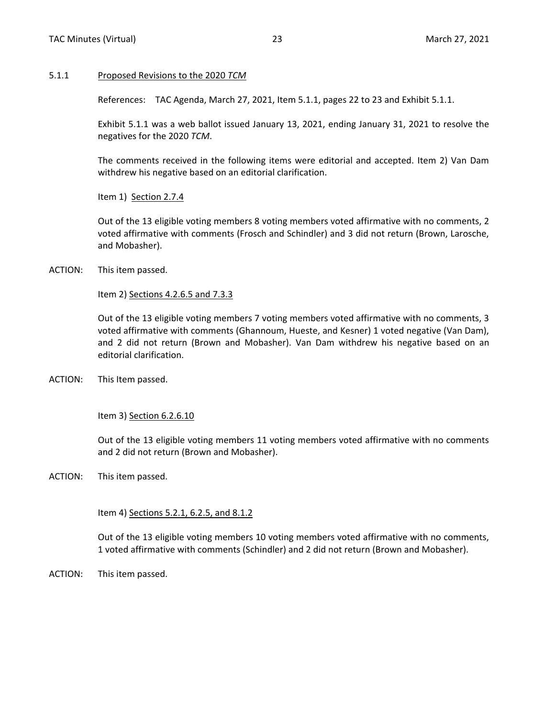#### <span id="page-13-0"></span>5.1.1 Proposed Revisions to the 2020 *TCM*

References: TAC Agenda, March 27, 2021, Item 5.1.1, pages 22 to 23 and Exhibit 5.1.1.

Exhibit 5.1.1 was a web ballot issued January 13, 2021, ending January 31, 2021 to resolve the negatives for the 2020 *TCM*.

The comments received in the following items were editorial and accepted. Item 2) Van Dam withdrew his negative based on an editorial clarification.

Item 1) Section 2.7.4

Out of the 13 eligible voting members 8 voting members voted affirmative with no comments, 2 voted affirmative with comments (Frosch and Schindler) and 3 did not return (Brown, Larosche, and Mobasher).

ACTION: This item passed.

Item 2) Sections 4.2.6.5 and 7.3.3

Out of the 13 eligible voting members 7 voting members voted affirmative with no comments, 3 voted affirmative with comments (Ghannoum, Hueste, and Kesner) 1 voted negative (Van Dam), and 2 did not return (Brown and Mobasher). Van Dam withdrew his negative based on an editorial clarification.

ACTION: This Item passed.

Item 3) Section 6.2.6.10

Out of the 13 eligible voting members 11 voting members voted affirmative with no comments and 2 did not return (Brown and Mobasher).

ACTION: This item passed.

Item 4) Sections 5.2.1, 6.2.5, and 8.1.2

Out of the 13 eligible voting members 10 voting members voted affirmative with no comments, 1 voted affirmative with comments (Schindler) and 2 did not return (Brown and Mobasher).

ACTION: This item passed.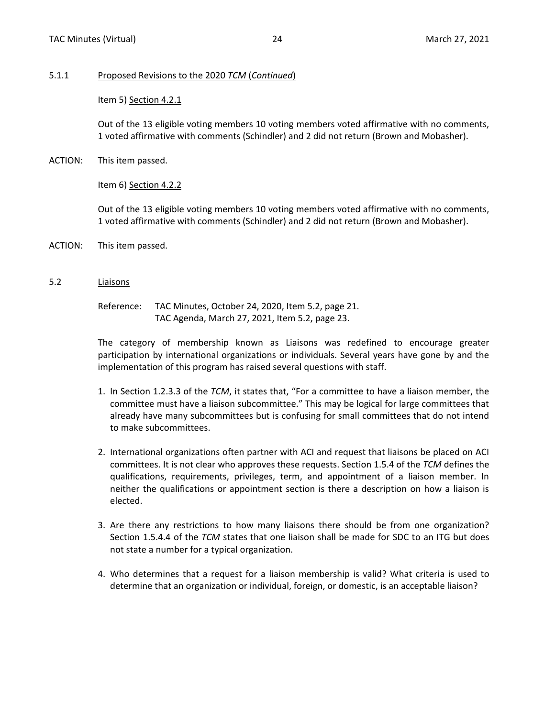#### <span id="page-14-0"></span>5.1.1 Proposed Revisions to the 2020 *TCM* (*Continued*)

Item 5) Section 4.2.1

Out of the 13 eligible voting members 10 voting members voted affirmative with no comments, 1 voted affirmative with comments (Schindler) and 2 did not return (Brown and Mobasher).

ACTION: This item passed.

Item 6) Section 4.2.2

Out of the 13 eligible voting members 10 voting members voted affirmative with no comments, 1 voted affirmative with comments (Schindler) and 2 did not return (Brown and Mobasher).

- ACTION: This item passed.
- 5.2 Liaisons

Reference: TAC Minutes, October 24, 2020, Item 5.2, page 21. TAC Agenda, March 27, 2021, Item 5.2, page 23.

The category of membership known as Liaisons was redefined to encourage greater participation by international organizations or individuals. Several years have gone by and the implementation of this program has raised several questions with staff.

- 1. In Section 1.2.3.3 of the *TCM*, it states that, "For a committee to have a liaison member, the committee must have a liaison subcommittee." This may be logical for large committees that already have many subcommittees but is confusing for small committees that do not intend to make subcommittees.
- 2. International organizations often partner with ACI and request that liaisons be placed on ACI committees. It is not clear who approves these requests. Section 1.5.4 of the *TCM* defines the qualifications, requirements, privileges, term, and appointment of a liaison member. In neither the qualifications or appointment section is there a description on how a liaison is elected.
- 3. Are there any restrictions to how many liaisons there should be from one organization? Section 1.5.4.4 of the *TCM* states that one liaison shall be made for SDC to an ITG but does not state a number for a typical organization.
- 4. Who determines that a request for a liaison membership is valid? What criteria is used to determine that an organization or individual, foreign, or domestic, is an acceptable liaison?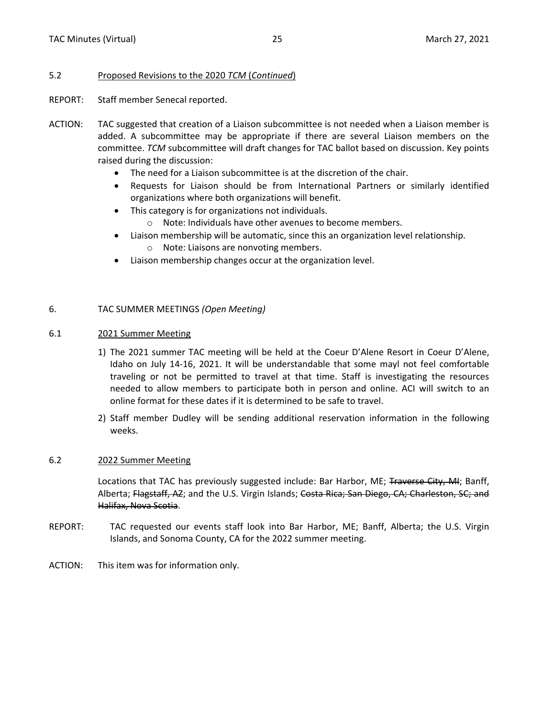## <span id="page-15-0"></span>5.2 Proposed Revisions to the 2020 *TCM* (*Continued*)

- REPORT: Staff member Senecal reported.
- ACTION: TAC suggested that creation of a Liaison subcommittee is not needed when a Liaison member is added. A subcommittee may be appropriate if there are several Liaison members on the committee. *TCM* subcommittee will draft changes for TAC ballot based on discussion. Key points raised during the discussion:
	- The need for a Liaison subcommittee is at the discretion of the chair.
	- Requests for Liaison should be from International Partners or similarly identified organizations where both organizations will benefit.
	- This category is for organizations not individuals.
		- o Note: Individuals have other avenues to become members.
	- Liaison membership will be automatic, since this an organization level relationship. o Note: Liaisons are nonvoting members.
	- Liaison membership changes occur at the organization level.

# 6. TAC SUMMER MEETINGS *(Open Meeting)*

# 6.1 2021 Summer Meeting

- 1) The 2021 summer TAC meeting will be held at the Coeur D'Alene Resort in Coeur D'Alene, Idaho on July 14-16, 2021. It will be understandable that some mayl not feel comfortable traveling or not be permitted to travel at that time. Staff is investigating the resources needed to allow members to participate both in person and online. ACI will switch to an online format for these dates if it is determined to be safe to travel.
- 2) Staff member Dudley will be sending additional reservation information in the following weeks.

# 6.2 2022 Summer Meeting

Locations that TAC has previously suggested include: Bar Harbor, ME; Traverse City, MI; Banff, Alberta; Flagstaff, AZ; and the U.S. Virgin Islands; Costa Rica; San Diego, CA; Charleston, SC; and Halifax, Nova Scotia.

- REPORT: TAC requested our events staff look into Bar Harbor, ME; Banff, Alberta; the U.S. Virgin Islands, and Sonoma County, CA for the 2022 summer meeting.
- ACTION: This item was for information only.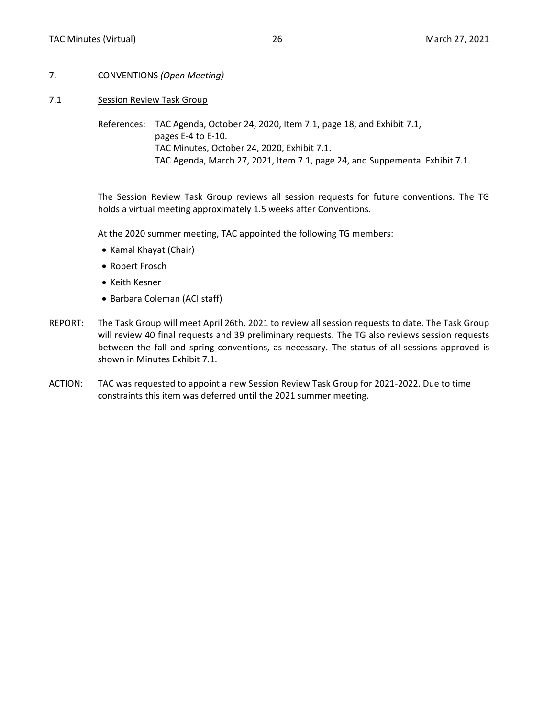- <span id="page-16-0"></span>7. CONVENTIONS *(Open Meeting)*
- 7.1 Session Review Task Group

References: TAC Agenda, October 24, 2020, Item 7.1, page 18, and Exhibit 7.1, pages E-4 to E-10. TAC Minutes, October 24, 2020, Exhibit 7.1. TAC Agenda, March 27, 2021, Item 7.1, page 24, and Suppemental Exhibit 7.1.

The Session Review Task Group reviews all session requests for future conventions. The TG holds a virtual meeting approximately 1.5 weeks after Conventions.

At the 2020 summer meeting, TAC appointed the following TG members:

- Kamal Khayat (Chair)
- Robert Frosch
- Keith Kesner
- Barbara Coleman (ACI staff)
- REPORT: The Task Group will meet April 26th, 2021 to review all session requests to date. The Task Group will review 40 final requests and 39 preliminary requests. The TG also reviews session requests between the fall and spring conventions, as necessary. The status of all sessions approved is shown in Minutes Exhibit 7.1.
- ACTION: TAC was requested to appoint a new Session Review Task Group for 2021-2022. Due to time constraints this item was deferred until the 2021 summer meeting.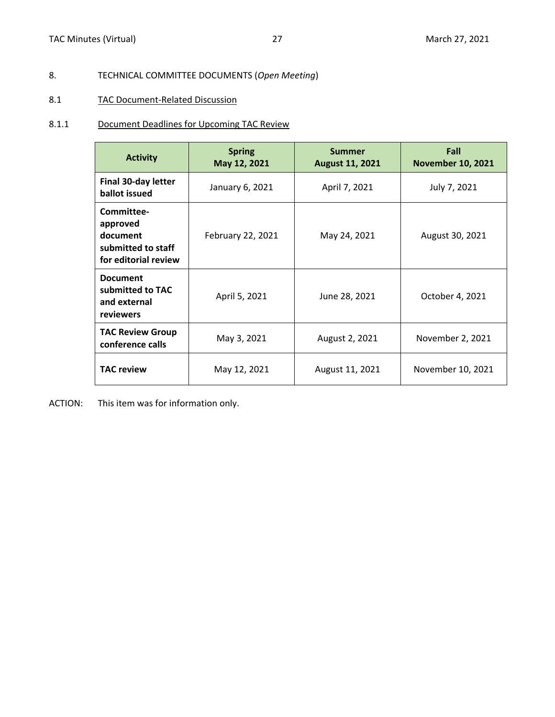# <span id="page-17-0"></span>8. TECHNICAL COMMITTEE DOCUMENTS (*Open Meeting*)

## 8.1 TAC Document-Related Discussion

## 8.1.1 Document Deadlines for Upcoming TAC Review

| <b>Activity</b>                                                                  | <b>Spring</b><br>May 12, 2021 | <b>Summer</b><br><b>August 11, 2021</b> | Fall<br><b>November 10, 2021</b> |
|----------------------------------------------------------------------------------|-------------------------------|-----------------------------------------|----------------------------------|
| <b>Final 30-day letter</b><br>ballot issued                                      | January 6, 2021               | April 7, 2021                           | July 7, 2021                     |
| Committee-<br>approved<br>document<br>submitted to staff<br>for editorial review | February 22, 2021             | May 24, 2021                            | August 30, 2021                  |
| <b>Document</b><br>submitted to TAC<br>and external<br>reviewers                 | April 5, 2021                 | June 28, 2021                           | October 4, 2021                  |
| <b>TAC Review Group</b><br>conference calls                                      | May 3, 2021                   | August 2, 2021                          | November 2, 2021                 |
| <b>TAC review</b>                                                                | May 12, 2021                  | August 11, 2021                         | November 10, 2021                |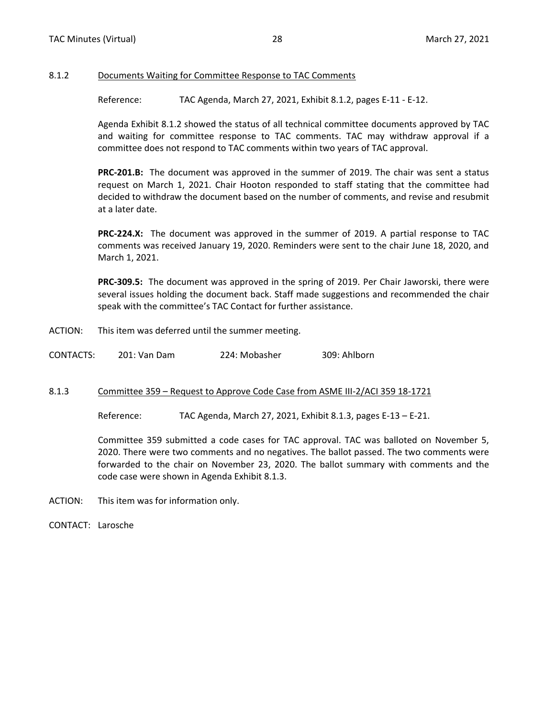#### <span id="page-18-0"></span>8.1.2 Documents Waiting for Committee Response to TAC Comments

Reference: TAC Agenda, March 27, 2021, Exhibit 8.1.2, pages E-11 - E-12.

Agenda Exhibit 8.1.2 showed the status of all technical committee documents approved by TAC and waiting for committee response to TAC comments. TAC may withdraw approval if a committee does not respond to TAC comments within two years of TAC approval.

**PRC-201.B:** The document was approved in the summer of 2019. The chair was sent a status request on March 1, 2021. Chair Hooton responded to staff stating that the committee had decided to withdraw the document based on the number of comments, and revise and resubmit at a later date.

**PRC-224.X:** The document was approved in the summer of 2019. A partial response to TAC comments was received January 19, 2020. Reminders were sent to the chair June 18, 2020, and March 1, 2021.

**PRC-309.5:** The document was approved in the spring of 2019. Per Chair Jaworski, there were several issues holding the document back. Staff made suggestions and recommended the chair speak with the committee's TAC Contact for further assistance.

ACTION: This item was deferred until the summer meeting.

| CONTACTS: | 201: Van Dam | 224: Mobasher | 309: Ahlborn |
|-----------|--------------|---------------|--------------|
|           |              |               |              |

#### 8.1.3 Committee 359 – Request to Approve Code Case from ASME III-2/ACI 359 18-1721

Reference: TAC Agenda, March 27, 2021, Exhibit 8.1.3, pages E-13 – E-21.

Committee 359 submitted a code cases for TAC approval. TAC was balloted on November 5, 2020. There were two comments and no negatives. The ballot passed. The two comments were forwarded to the chair on November 23, 2020. The ballot summary with comments and the code case were shown in Agenda Exhibit 8.1.3.

ACTION: This item was for information only.

CONTACT: Larosche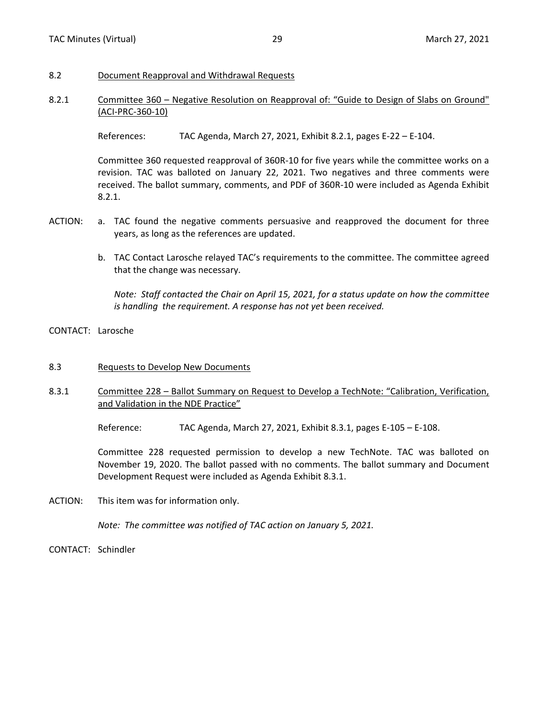#### <span id="page-19-0"></span>8.2 Document Reapproval and Withdrawal Requests

### 8.2.1 Committee 360 – Negative Resolution on Reapproval of: "Guide to Design of Slabs on Ground" (ACI-PRC-360-10)

References: TAC Agenda, March 27, 2021, Exhibit 8.2.1, pages E-22 – E-104.

Committee 360 requested reapproval of 360R-10 for five years while the committee works on a revision. TAC was balloted on January 22, 2021. Two negatives and three comments were received. The ballot summary, comments, and PDF of 360R-10 were included as Agenda Exhibit 8.2.1.

- ACTION: a. TAC found the negative comments persuasive and reapproved the document for three years, as long as the references are updated.
	- b. TAC Contact Larosche relayed TAC's requirements to the committee. The committee agreed that the change was necessary.

*Note: Staff contacted the Chair on April 15, 2021, for a status update on how the committee is handling the requirement. A response has not yet been received.*

- CONTACT: Larosche
- 8.3 Requests to Develop New Documents
- 8.3.1 Committee 228 Ballot Summary on Request to Develop a TechNote: "Calibration, Verification, and Validation in the NDE Practice"

Reference: TAC Agenda, March 27, 2021, Exhibit 8.3.1, pages E-105 – E-108.

Committee 228 requested permission to develop a new TechNote. TAC was balloted on November 19, 2020. The ballot passed with no comments. The ballot summary and Document Development Request were included as Agenda Exhibit 8.3.1.

ACTION: This item was for information only.

*Note: The committee was notified of TAC action on January 5, 2021.*

CONTACT: Schindler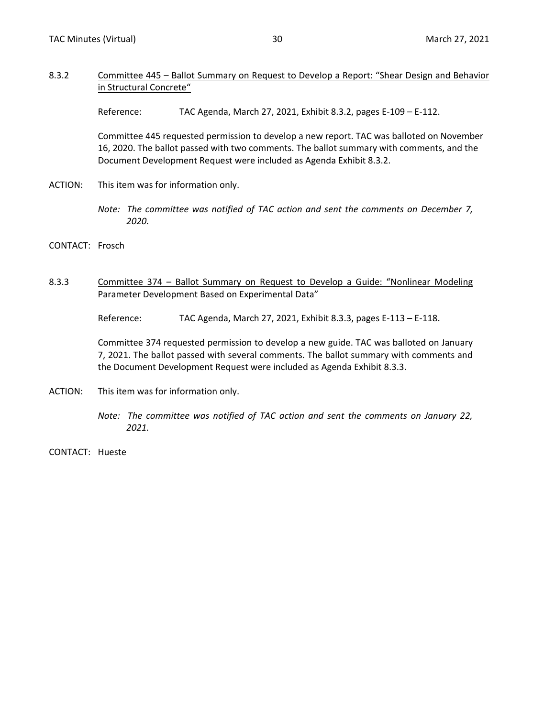#### <span id="page-20-0"></span>8.3.2 Committee 445 – Ballot Summary on Request to Develop a Report: "Shear Design and Behavior in Structural Concrete"

Reference: TAC Agenda, March 27, 2021, Exhibit 8.3.2, pages E-109 – E-112.

Committee 445 requested permission to develop a new report. TAC was balloted on November 16, 2020. The ballot passed with two comments. The ballot summary with comments, and the Document Development Request were included as Agenda Exhibit 8.3.2.

ACTION: This item was for information only.

*Note: The committee was notified of TAC action and sent the comments on December 7, 2020.*

- CONTACT: Frosch
- 8.3.3 Committee 374 Ballot Summary on Request to Develop a Guide: "Nonlinear Modeling Parameter Development Based on Experimental Data"

Reference: TAC Agenda, March 27, 2021, Exhibit 8.3.3, pages E-113 - E-118.

Committee 374 requested permission to develop a new guide. TAC was balloted on January 7, 2021. The ballot passed with several comments. The ballot summary with comments and the Document Development Request were included as Agenda Exhibit 8.3.3.

- ACTION: This item was for information only.
	- *Note: The committee was notified of TAC action and sent the comments on January 22, 2021.*
- CONTACT: Hueste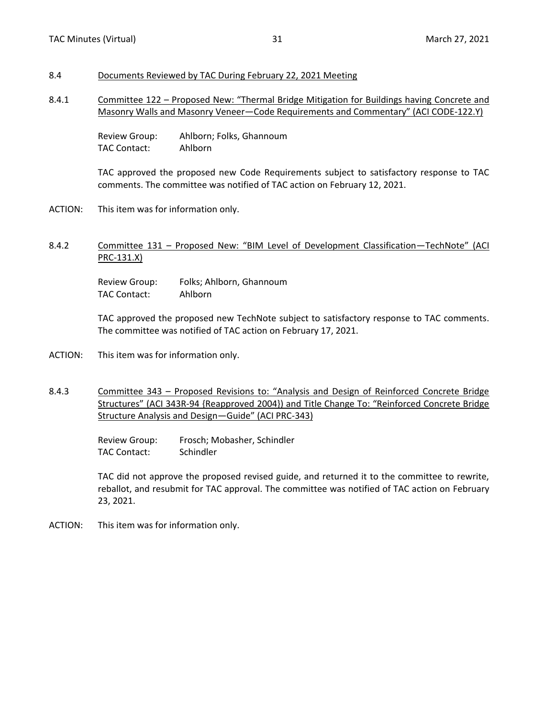# <span id="page-21-0"></span>8.4 Documents Reviewed by TAC During February 22, 2021 Meeting

8.4.1 Committee 122 – Proposed New: "Thermal Bridge Mitigation for Buildings having Concrete and Masonry Walls and Masonry Veneer—Code Requirements and Commentary" (ACI CODE-122.Y)

> Review Group: Ahlborn; Folks, Ghannoum TAC Contact: Ahlborn

TAC approved the proposed new Code Requirements subject to satisfactory response to TAC comments. The committee was notified of TAC action on February 12, 2021.

- ACTION: This item was for information only.
- 8.4.2 Committee 131 Proposed New: "BIM Level of Development Classification—TechNote" (ACI PRC-131.X)

Review Group: Folks; Ahlborn, Ghannoum TAC Contact: Ahlborn

TAC approved the proposed new TechNote subject to satisfactory response to TAC comments. The committee was notified of TAC action on February 17, 2021.

- ACTION: This item was for information only.
- 8.4.3 Committee 343 Proposed Revisions to: "Analysis and Design of Reinforced Concrete Bridge Structures" (ACI 343R-94 {Reapproved 2004}) and Title Change To: "Reinforced Concrete Bridge Structure Analysis and Design—Guide" (ACI PRC-343)

Review Group: Frosch; Mobasher, Schindler TAC Contact: Schindler

TAC did not approve the proposed revised guide, and returned it to the committee to rewrite, reballot, and resubmit for TAC approval. The committee was notified of TAC action on February 23, 2021.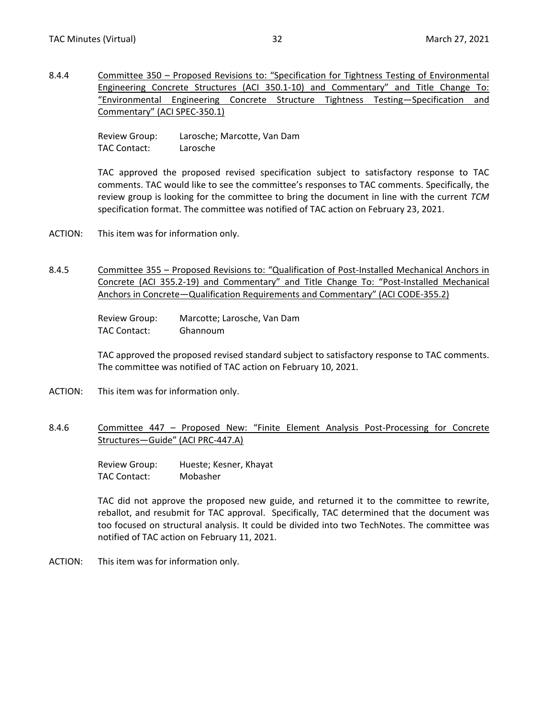<span id="page-22-0"></span>8.4.4 Committee 350 – Proposed Revisions to: "Specification for Tightness Testing of Environmental Engineering Concrete Structures (ACI 350.1-10) and Commentary" and Title Change To: "Environmental Engineering Concrete Structure Tightness Testing—Specification and Commentary" (ACI SPEC-350.1)

> Review Group: Larosche; Marcotte, Van Dam TAC Contact: Larosche

TAC approved the proposed revised specification subject to satisfactory response to TAC comments. TAC would like to see the committee's responses to TAC comments. Specifically, the review group is looking for the committee to bring the document in line with the current *TCM* specification format. The committee was notified of TAC action on February 23, 2021.

- ACTION: This item was for information only.
- 8.4.5 Committee 355 Proposed Revisions to: "Qualification of Post-Installed Mechanical Anchors in Concrete (ACI 355.2-19) and Commentary" and Title Change To: "Post-Installed Mechanical Anchors in Concrete—Qualification Requirements and Commentary" (ACI CODE-355.2)

Review Group: Marcotte; Larosche, Van Dam TAC Contact: Ghannoum

TAC approved the proposed revised standard subject to satisfactory response to TAC comments. The committee was notified of TAC action on February 10, 2021.

- ACTION: This item was for information only.
- 8.4.6 Committee 447 Proposed New: "Finite Element Analysis Post-Processing for Concrete Structures—Guide" (ACI PRC-447.A)

Review Group: Hueste; Kesner, Khayat TAC Contact: Mobasher

TAC did not approve the proposed new guide, and returned it to the committee to rewrite, reballot, and resubmit for TAC approval. Specifically, TAC determined that the document was too focused on structural analysis. It could be divided into two TechNotes. The committee was notified of TAC action on February 11, 2021.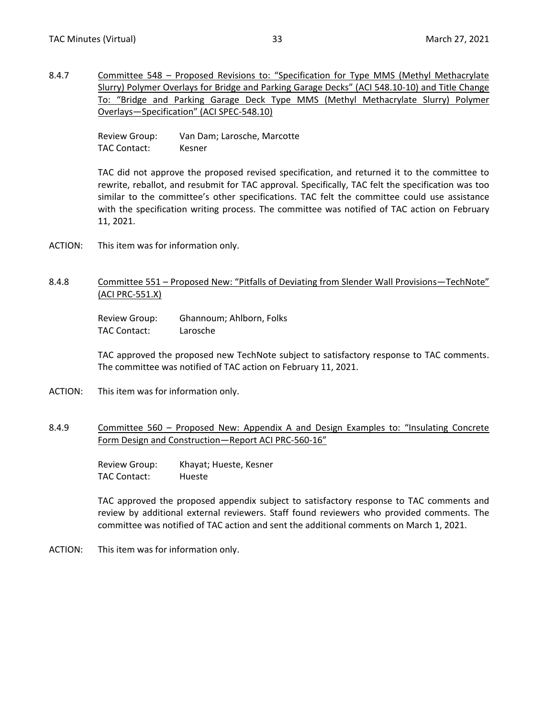<span id="page-23-0"></span>8.4.7 Committee 548 – Proposed Revisions to: "Specification for Type MMS (Methyl Methacrylate Slurry) Polymer Overlays for Bridge and Parking Garage Decks" (ACI 548.10-10) and Title Change To: "Bridge and Parking Garage Deck Type MMS (Methyl Methacrylate Slurry) Polymer Overlays—Specification" (ACI SPEC-548.10)

> Review Group: Van Dam; Larosche, Marcotte TAC Contact: Kesner

TAC did not approve the proposed revised specification, and returned it to the committee to rewrite, reballot, and resubmit for TAC approval. Specifically, TAC felt the specification was too similar to the committee's other specifications. TAC felt the committee could use assistance with the specification writing process. The committee was notified of TAC action on February 11, 2021.

ACTION: This item was for information only.

### 8.4.8 Committee 551 – Proposed New: "Pitfalls of Deviating from Slender Wall Provisions—TechNote" (ACI PRC-551.X)

Review Group: Ghannoum; Ahlborn, Folks TAC Contact: Larosche

TAC approved the proposed new TechNote subject to satisfactory response to TAC comments. The committee was notified of TAC action on February 11, 2021.

- ACTION: This item was for information only.
- 8.4.9 Committee 560 Proposed New: Appendix A and Design Examples to: "Insulating Concrete Form Design and Construction—Report ACI PRC-560-16"

Review Group: Khayat; Hueste, Kesner TAC Contact: Hueste

TAC approved the proposed appendix subject to satisfactory response to TAC comments and review by additional external reviewers. Staff found reviewers who provided comments. The committee was notified of TAC action and sent the additional comments on March 1, 2021.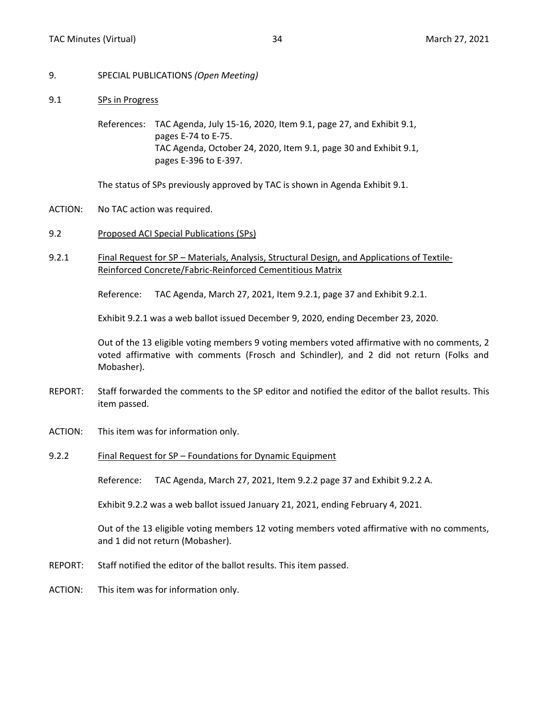- <span id="page-24-0"></span>9. SPECIAL PUBLICATIONS *(Open Meeting)*
- 9.1 SPs in Progress

References: TAC Agenda, July 15-16, 2020, Item 9.1, page 27, and Exhibit 9.1, pages E-74 to E-75. TAC Agenda, October 24, 2020, Item 9.1, page 30 and Exhibit 9.1, pages E-396 to E-397.

The status of SPs previously approved by TAC is shown in Agenda Exhibit 9.1.

- ACTION: No TAC action was required.
- 9.2 Proposed ACI Special Publications (SPs)
- 9.2.1 Final Request for SP Materials, Analysis, Structural Design, and Applications of Textile-Reinforced Concrete/Fabric-Reinforced Cementitious Matrix

Reference: TAC Agenda, March 27, 2021, Item 9.2.1, page 37 and Exhibit 9.2.1.

Exhibit 9.2.1 was a web ballot issued December 9, 2020, ending December 23, 2020.

Out of the 13 eligible voting members 9 voting members voted affirmative with no comments, 2 voted affirmative with comments (Frosch and Schindler), and 2 did not return (Folks and Mobasher).

- REPORT: Staff forwarded the comments to the SP editor and notified the editor of the ballot results. This item passed.
- ACTION: This item was for information only.
- 9.2.2 Final Request for SP Foundations for Dynamic Equipment

Reference: TAC Agenda, March 27, 2021, Item 9.2.2 page 37 and Exhibit 9.2.2 A.

Exhibit 9.2.2 was a web ballot issued January 21, 2021, ending February 4, 2021.

Out of the 13 eligible voting members 12 voting members voted affirmative with no comments, and 1 did not return (Mobasher).

- REPORT: Staff notified the editor of the ballot results. This item passed.
- ACTION: This item was for information only.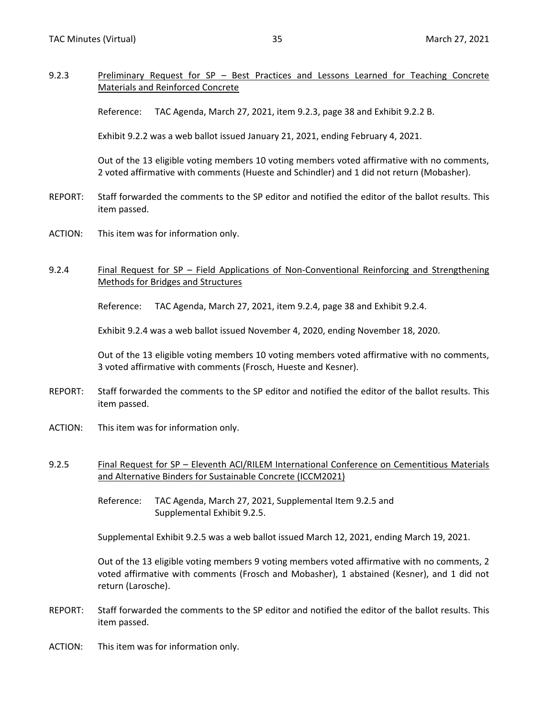### <span id="page-25-0"></span>9.2.3 Preliminary Request for SP – Best Practices and Lessons Learned for Teaching Concrete Materials and Reinforced Concrete

Reference: TAC Agenda, March 27, 2021, item 9.2.3, page 38 and Exhibit 9.2.2 B.

Exhibit 9.2.2 was a web ballot issued January 21, 2021, ending February 4, 2021.

Out of the 13 eligible voting members 10 voting members voted affirmative with no comments, 2 voted affirmative with comments (Hueste and Schindler) and 1 did not return (Mobasher).

- REPORT: Staff forwarded the comments to the SP editor and notified the editor of the ballot results. This item passed.
- ACTION: This item was for information only.
- 9.2.4 Final Request for SP Field Applications of Non-Conventional Reinforcing and Strengthening Methods for Bridges and Structures

Reference: TAC Agenda, March 27, 2021, item 9.2.4, page 38 and Exhibit 9.2.4.

Exhibit 9.2.4 was a web ballot issued November 4, 2020, ending November 18, 2020.

Out of the 13 eligible voting members 10 voting members voted affirmative with no comments, 3 voted affirmative with comments (Frosch, Hueste and Kesner).

- REPORT: Staff forwarded the comments to the SP editor and notified the editor of the ballot results. This item passed.
- ACTION: This item was for information only.
- 9.2.5 Final Request for SP Eleventh ACI/RILEM International Conference on Cementitious Materials and Alternative Binders for Sustainable Concrete (ICCM2021)

Reference: TAC Agenda, March 27, 2021, Supplemental Item 9.2.5 and Supplemental Exhibit 9.2.5.

Supplemental Exhibit 9.2.5 was a web ballot issued March 12, 2021, ending March 19, 2021.

Out of the 13 eligible voting members 9 voting members voted affirmative with no comments, 2 voted affirmative with comments (Frosch and Mobasher), 1 abstained (Kesner), and 1 did not return (Larosche).

- REPORT: Staff forwarded the comments to the SP editor and notified the editor of the ballot results. This item passed.
- ACTION: This item was for information only.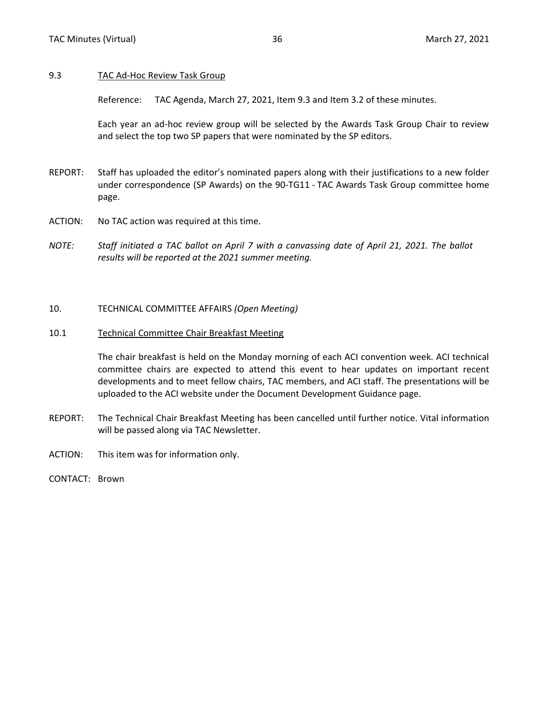#### <span id="page-26-0"></span>9.3 TAC Ad-Hoc Review Task Group

Reference: TAC Agenda, March 27, 2021, Item 9.3 and Item 3.2 of these minutes.

Each year an ad-hoc review group will be selected by the Awards Task Group Chair to review and select the top two SP papers that were nominated by the SP editors.

- REPORT: Staff has uploaded the editor's nominated papers along with their justifications to a new folder under correspondence (SP Awards) on the 90-TG11 - TAC Awards Task Group committee home page.
- ACTION: No TAC action was required at this time.
- *NOTE: Staff initiated a TAC ballot on April 7 with a canvassing date of April 21, 2021. The ballot results will be reported at the 2021 summer meeting.*

#### 10. TECHNICAL COMMITTEE AFFAIRS *(Open Meeting)*

#### 10.1 Technical Committee Chair Breakfast Meeting

The chair breakfast is held on the Monday morning of each ACI convention week. ACI technical committee chairs are expected to attend this event to hear updates on important recent developments and to meet fellow chairs, TAC members, and ACI staff. The presentations will be uploaded to the ACI website under the Document Development Guidance page.

- REPORT: The Technical Chair Breakfast Meeting has been cancelled until further notice. Vital information will be passed along via TAC Newsletter.
- ACTION: This item was for information only.
- CONTACT: Brown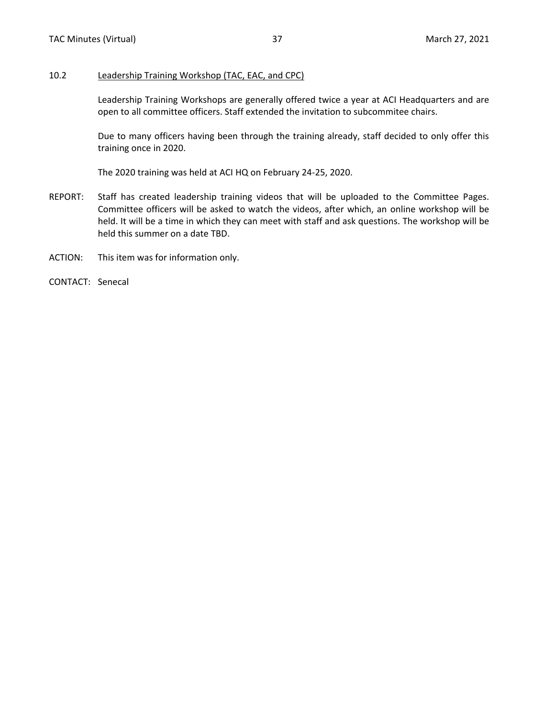#### <span id="page-27-0"></span>10.2 Leadership Training Workshop (TAC, EAC, and CPC)

Leadership Training Workshops are generally offered twice a year at ACI Headquarters and are open to all committee officers. Staff extended the invitation to subcommitee chairs.

Due to many officers having been through the training already, staff decided to only offer this training once in 2020.

The 2020 training was held at ACI HQ on February 24-25, 2020.

- REPORT: Staff has created leadership training videos that will be uploaded to the Committee Pages. Committee officers will be asked to watch the videos, after which, an online workshop will be held. It will be a time in which they can meet with staff and ask questions. The workshop will be held this summer on a date TBD.
- ACTION: This item was for information only.
- CONTACT: Senecal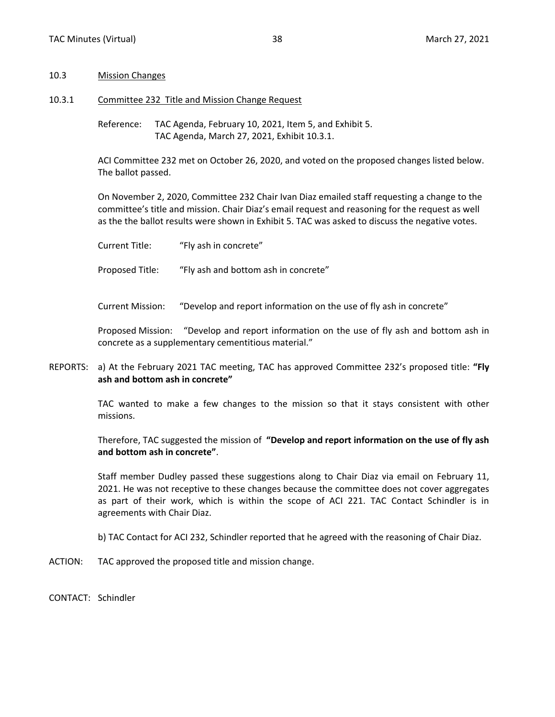#### <span id="page-28-0"></span>10.3 Mission Changes

10.3.1 Committee 232 Title and Mission Change Request

Reference: TAC Agenda, February 10, 2021, Item 5, and Exhibit 5. TAC Agenda, March 27, 2021, Exhibit 10.3.1.

ACI Committee 232 met on October 26, 2020, and voted on the proposed changes listed below. The ballot passed.

On November 2, 2020, Committee 232 Chair Ivan Diaz emailed staff requesting a change to the committee's title and mission. Chair Diaz's email request and reasoning for the request as well as the the ballot results were shown in Exhibit 5. TAC was asked to discuss the negative votes.

Current Title: "Fly ash in concrete"

Proposed Title: "Fly ash and bottom ash in concrete"

Current Mission: "Develop and report information on the use of fly ash in concrete"

Proposed Mission: "Develop and report information on the use of fly ash and bottom ash in concrete as a supplementary cementitious material."

REPORTS: a) At the February 2021 TAC meeting, TAC has approved Committee 232's proposed title: **"Fly ash and bottom ash in concrete"**

> TAC wanted to make a few changes to the mission so that it stays consistent with other missions.

> Therefore, TAC suggested the mission of **"Develop and report information on the use of fly ash and bottom ash in concrete"**.

> Staff member Dudley passed these suggestions along to Chair Diaz via email on February 11, 2021. He was not receptive to these changes because the committee does not cover aggregates as part of their work, which is within the scope of ACI 221. TAC Contact Schindler is in agreements with Chair Diaz.

b) TAC Contact for ACI 232, Schindler reported that he agreed with the reasoning of Chair Diaz.

ACTION: TAC approved the proposed title and mission change.

CONTACT: Schindler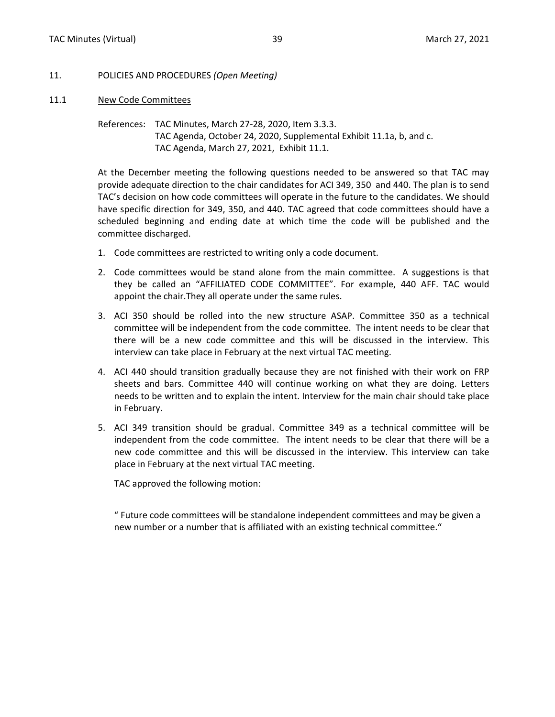- <span id="page-29-0"></span>11. POLICIES AND PROCEDURES *(Open Meeting)*
- 11.1 New Code Committees

References: TAC Minutes, March 27-28, 2020, Item 3.3.3. TAC Agenda, October 24, 2020, Supplemental Exhibit 11.1a, b, and c. TAC Agenda, March 27, 2021, Exhibit 11.1.

At the December meeting the following questions needed to be answered so that TAC may provide adequate direction to the chair candidates for ACI 349, 350 and 440. The plan is to send TAC's decision on how code committees will operate in the future to the candidates. We should have specific direction for 349, 350, and 440. TAC agreed that code committees should have a scheduled beginning and ending date at which time the code will be published and the committee discharged.

- 1. Code committees are restricted to writing only a code document.
- 2. Code committees would be stand alone from the main committee. A suggestions is that they be called an "AFFILIATED CODE COMMITTEE". For example, 440 AFF. TAC would appoint the chair.They all operate under the same rules.
- 3. ACI 350 should be rolled into the new structure ASAP. Committee 350 as a technical committee will be independent from the code committee. The intent needs to be clear that there will be a new code committee and this will be discussed in the interview. This interview can take place in February at the next virtual TAC meeting.
- 4. ACI 440 should transition gradually because they are not finished with their work on FRP sheets and bars. Committee 440 will continue working on what they are doing. Letters needs to be written and to explain the intent. Interview for the main chair should take place in February.
- 5. ACI 349 transition should be gradual. Committee 349 as a technical committee will be independent from the code committee. The intent needs to be clear that there will be a new code committee and this will be discussed in the interview. This interview can take place in February at the next virtual TAC meeting.

TAC approved the following motion:

" Future code committees will be standalone independent committees and may be given a new number or a number that is affiliated with an existing technical committee."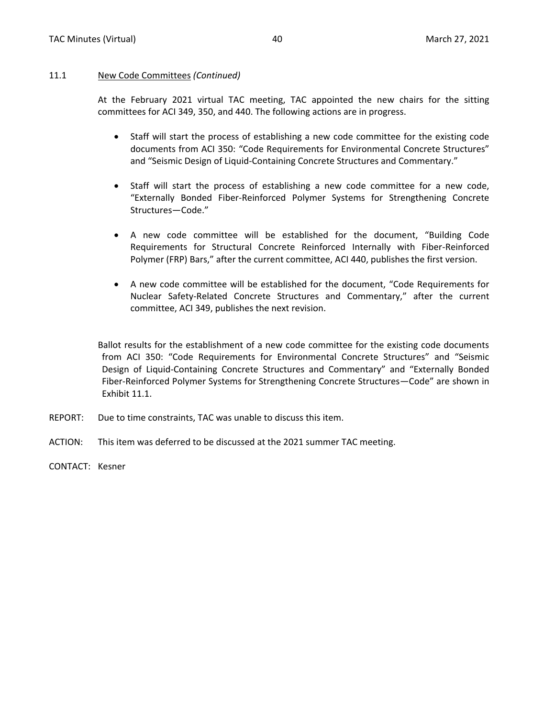#### 11.1 New Code Committees *(Continued)*

At the February 2021 virtual TAC meeting, TAC appointed the new chairs for the sitting committees for ACI 349, 350, and 440. The following actions are in progress.

- Staff will start the process of establishing a new code committee for the existing code documents from ACI 350: "Code Requirements for Environmental Concrete Structures" and "Seismic Design of Liquid-Containing Concrete Structures and Commentary."
- Staff will start the process of establishing a new code committee for a new code, "Externally Bonded Fiber-Reinforced Polymer Systems for Strengthening Concrete Structures—Code."
- A new code committee will be established for the document, "Building Code Requirements for Structural Concrete Reinforced Internally with Fiber-Reinforced Polymer (FRP) Bars," after the current committee, ACI 440, publishes the first version.
- A new code committee will be established for the document, "Code Requirements for Nuclear Safety-Related Concrete Structures and Commentary," after the current committee, ACI 349, publishes the next revision.

Ballot results for the establishment of a new code committee for the existing code documents from ACI 350: "Code Requirements for Environmental Concrete Structures" and "Seismic Design of Liquid-Containing Concrete Structures and Commentary" and "Externally Bonded Fiber-Reinforced Polymer Systems for Strengthening Concrete Structures—Code" are shown in Exhibit 11.1.

- REPORT: Due to time constraints, TAC was unable to discuss this item.
- ACTION: This item was deferred to be discussed at the 2021 summer TAC meeting.
- CONTACT: Kesner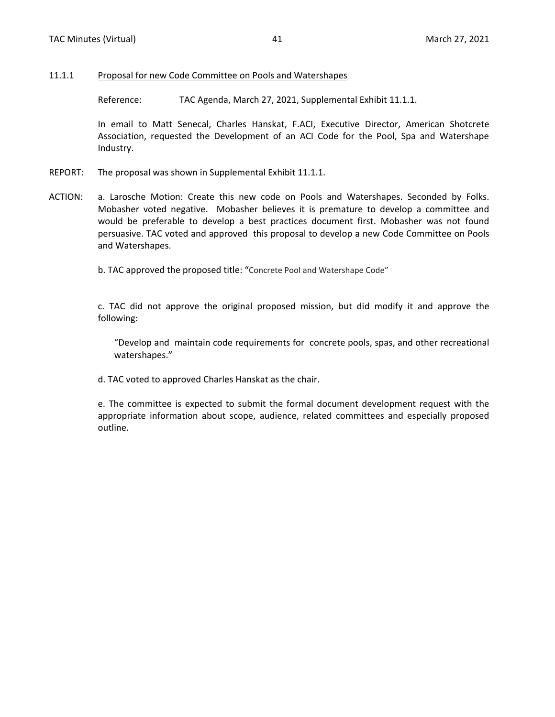#### <span id="page-31-0"></span>11.1.1 Proposal for new Code Committee on Pools and Watershapes

Reference: TAC Agenda, March 27, 2021, Supplemental Exhibit 11.1.1.

In email to Matt Senecal, Charles Hanskat, F.ACI, Executive Director, American Shotcrete Association, requested the Development of an ACI Code for the Pool, Spa and Watershape Industry.

- REPORT: The proposal was shown in Supplemental Exhibit 11.1.1.
- ACTION: a. Larosche Motion: Create this new code on Pools and Watershapes. Seconded by Folks. Mobasher voted negative. Mobasher believes it is premature to develop a committee and would be preferable to develop a best practices document first. Mobasher was not found persuasive. TAC voted and approved this proposal to develop a new Code Committee on Pools and Watershapes.

b. TAC approved the proposed title: "Concrete Pool and Watershape Code"

c. TAC did not approve the original proposed mission, but did modify it and approve the following:

"Develop and maintain code requirements for concrete pools, spas, and other recreational watershapes."

d. TAC voted to approved Charles Hanskat as the chair.

e. The committee is expected to submit the formal document development request with the appropriate information about scope, audience, related committees and especially proposed outline.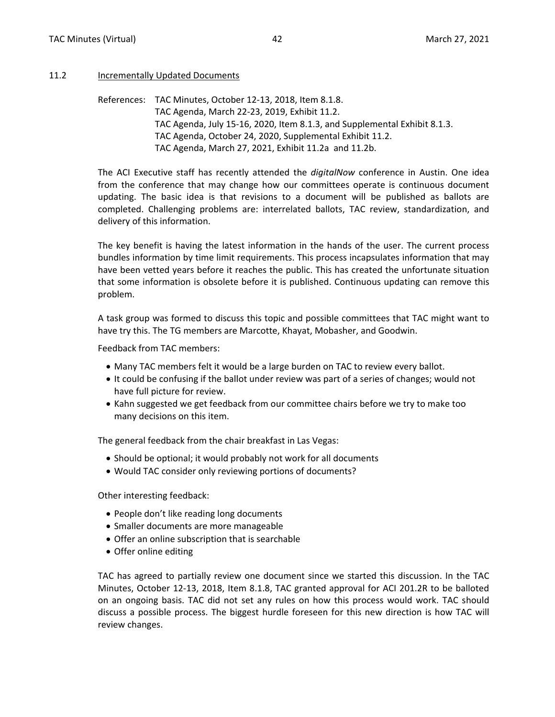#### <span id="page-32-0"></span>11.2 Incrementally Updated Documents

References: TAC Minutes, October 12-13, 2018, Item 8.1.8. TAC Agenda, March 22-23, 2019, Exhibit 11.2. TAC Agenda, July 15-16, 2020, Item 8.1.3, and Supplemental Exhibit 8.1.3. TAC Agenda, October 24, 2020, Supplemental Exhibit 11.2. TAC Agenda, March 27, 2021, Exhibit 11.2a and 11.2b.

The ACI Executive staff has recently attended the *digitalNow* conference in Austin. One idea from the conference that may change how our committees operate is continuous document updating. The basic idea is that revisions to a document will be published as ballots are completed. Challenging problems are: interrelated ballots, TAC review, standardization, and delivery of this information.

The key benefit is having the latest information in the hands of the user. The current process bundles information by time limit requirements. This process incapsulates information that may have been vetted years before it reaches the public. This has created the unfortunate situation that some information is obsolete before it is published. Continuous updating can remove this problem.

A task group was formed to discuss this topic and possible committees that TAC might want to have try this. The TG members are Marcotte, Khayat, Mobasher, and Goodwin.

Feedback from TAC members:

- Many TAC members felt it would be a large burden on TAC to review every ballot.
- It could be confusing if the ballot under review was part of a series of changes; would not have full picture for review.
- Kahn suggested we get feedback from our committee chairs before we try to make too many decisions on this item.

The general feedback from the chair breakfast in Las Vegas:

- Should be optional; it would probably not work for all documents
- Would TAC consider only reviewing portions of documents?

Other interesting feedback:

- People don't like reading long documents
- Smaller documents are more manageable
- Offer an online subscription that is searchable
- Offer online editing

TAC has agreed to partially review one document since we started this discussion. In the TAC Minutes, October 12-13, 2018, Item 8.1.8, TAC granted approval for ACI 201.2R to be balloted on an ongoing basis. TAC did not set any rules on how this process would work. TAC should discuss a possible process. The biggest hurdle foreseen for this new direction is how TAC will review changes.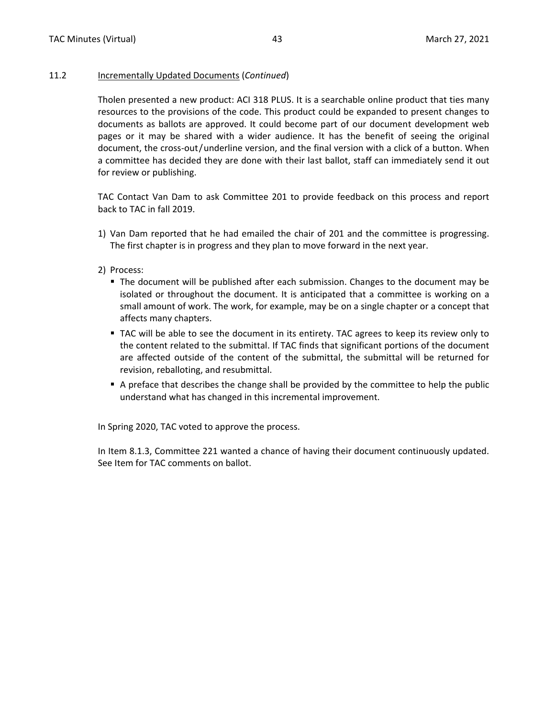#### 11.2 Incrementally Updated Documents (*Continued*)

Tholen presented a new product: ACI 318 PLUS. It is a searchable online product that ties many resources to the provisions of the code. This product could be expanded to present changes to documents as ballots are approved. It could become part of our document development web pages or it may be shared with a wider audience. It has the benefit of seeing the original document, the cross-out/underline version, and the final version with a click of a button. When a committee has decided they are done with their last ballot, staff can immediately send it out for review or publishing.

TAC Contact Van Dam to ask Committee 201 to provide feedback on this process and report back to TAC in fall 2019.

- 1) Van Dam reported that he had emailed the chair of 201 and the committee is progressing. The first chapter is in progress and they plan to move forward in the next year.
- 2) Process:
	- The document will be published after each submission. Changes to the document may be isolated or throughout the document. It is anticipated that a committee is working on a small amount of work. The work, for example, may be on a single chapter or a concept that affects many chapters.
	- TAC will be able to see the document in its entirety. TAC agrees to keep its review only to the content related to the submittal. If TAC finds that significant portions of the document are affected outside of the content of the submittal, the submittal will be returned for revision, reballoting, and resubmittal.
	- A preface that describes the change shall be provided by the committee to help the public understand what has changed in this incremental improvement.

In Spring 2020, TAC voted to approve the process.

In Item 8.1.3, Committee 221 wanted a chance of having their document continuously updated. See Item for TAC comments on ballot.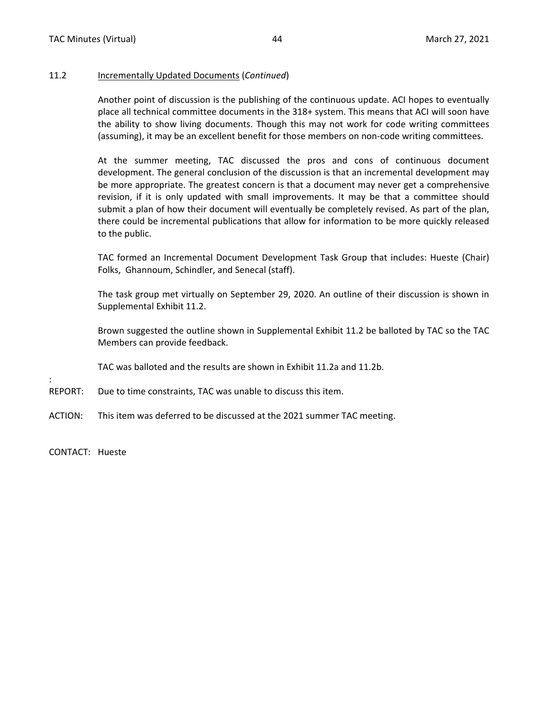#### 11.2 Incrementally Updated Documents (*Continued*)

Another point of discussion is the publishing of the continuous update. ACI hopes to eventually place all technical committee documents in the 318+ system. This means that ACI will soon have the ability to show living documents. Though this may not work for code writing committees (assuming), it may be an excellent benefit for those members on non-code writing committees.

At the summer meeting, TAC discussed the pros and cons of continuous document development. The general conclusion of the discussion is that an incremental development may be more appropriate. The greatest concern is that a document may never get a comprehensive revision, if it is only updated with small improvements. It may be that a committee should submit a plan of how their document will eventually be completely revised. As part of the plan, there could be incremental publications that allow for information to be more quickly released to the public.

TAC formed an Incremental Document Development Task Group that includes: Hueste (Chair) Folks, Ghannoum, Schindler, and Senecal (staff).

The task group met virtually on September 29, 2020. An outline of their discussion is shown in Supplemental Exhibit 11.2.

Brown suggested the outline shown in Supplemental Exhibit 11.2 be balloted by TAC so the TAC Members can provide feedback.

TAC was balloted and the results are shown in Exhibit 11.2a and 11.2b.

- REPORT: Due to time constraints, TAC was unable to discuss this item.
- ACTION: This item was deferred to be discussed at the 2021 summer TAC meeting.

CONTACT: Hueste

: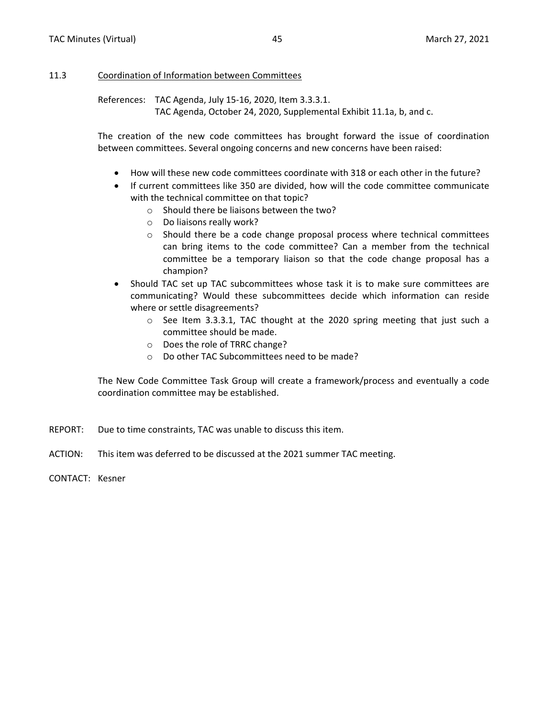#### <span id="page-35-0"></span>11.3 Coordination of Information between Committees

References: TAC Agenda, July 15-16, 2020, Item 3.3.3.1. TAC Agenda, October 24, 2020, Supplemental Exhibit 11.1a, b, and c.

The creation of the new code committees has brought forward the issue of coordination between committees. Several ongoing concerns and new concerns have been raised:

- How will these new code committees coordinate with 318 or each other in the future?
- If current committees like 350 are divided, how will the code committee communicate with the technical committee on that topic?
	- o Should there be liaisons between the two?
	- o Do liaisons really work?
	- o Should there be a code change proposal process where technical committees can bring items to the code committee? Can a member from the technical committee be a temporary liaison so that the code change proposal has a champion?
- Should TAC set up TAC subcommittees whose task it is to make sure committees are communicating? Would these subcommittees decide which information can reside where or settle disagreements?
	- o See Item 3.3.3.1, TAC thought at the 2020 spring meeting that just such a committee should be made.
	- o Does the role of TRRC change?
	- o Do other TAC Subcommittees need to be made?

The New Code Committee Task Group will create a framework/process and eventually a code coordination committee may be established.

- REPORT: Due to time constraints, TAC was unable to discuss this item.
- ACTION: This item was deferred to be discussed at the 2021 summer TAC meeting.

CONTACT: Kesner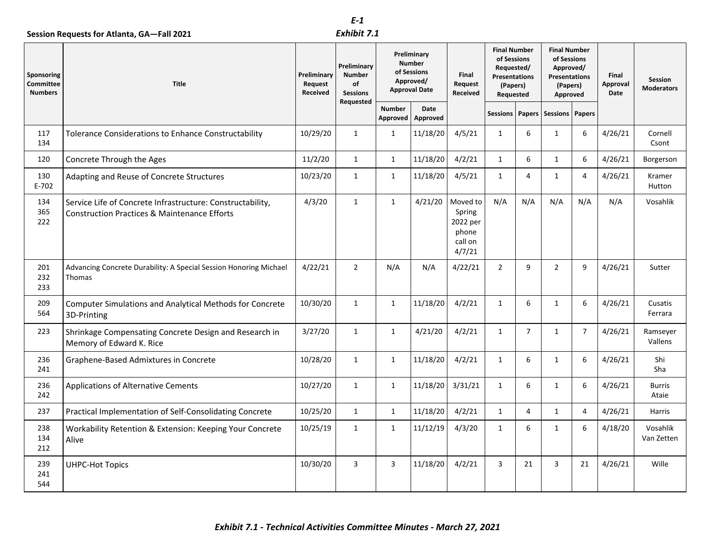### *Exhibit 7.1*

<span id="page-36-0"></span>

|                                           | Session Requests for Atlanta, GA-Fall 2021                                                                            |                                    | E-1<br>Exhibit 7.1                                    |                                                                                  |                  |                                                              |                                                                                                   |                |                                                                                                 |                |                           |                                     |
|-------------------------------------------|-----------------------------------------------------------------------------------------------------------------------|------------------------------------|-------------------------------------------------------|----------------------------------------------------------------------------------|------------------|--------------------------------------------------------------|---------------------------------------------------------------------------------------------------|----------------|-------------------------------------------------------------------------------------------------|----------------|---------------------------|-------------------------------------|
| Sponsoring<br>Committee<br><b>Numbers</b> | <b>Title</b>                                                                                                          | Preliminary<br>Request<br>Received | Preliminary<br><b>Number</b><br>of<br><b>Sessions</b> | Preliminary<br><b>Number</b><br>of Sessions<br>Approved/<br><b>Approval Date</b> |                  | Final<br>Request<br>Received                                 | <b>Final Number</b><br>of Sessions<br>Requested/<br><b>Presentations</b><br>(Papers)<br>Requested |                | <b>Final Number</b><br>of Sessions<br>Approved/<br><b>Presentations</b><br>(Papers)<br>Approved |                | Final<br>Approval<br>Date | <b>Session</b><br><b>Moderators</b> |
|                                           |                                                                                                                       |                                    | Requested                                             | <b>Number</b><br>Approved                                                        | Date<br>Approved |                                                              | <b>Sessions</b>                                                                                   |                | Papers Sessions Papers                                                                          |                |                           |                                     |
| 117<br>134                                | Tolerance Considerations to Enhance Constructability                                                                  | 10/29/20                           | $\mathbf{1}$                                          | $\mathbf{1}$                                                                     | 11/18/20         | 4/5/21                                                       | $\mathbf{1}$                                                                                      | 6              | $\mathbf{1}$                                                                                    | 6              | 4/26/21                   | Cornell<br>Csont                    |
| 120                                       | Concrete Through the Ages                                                                                             | 11/2/20                            | $\mathbf{1}$                                          | $\mathbf{1}$                                                                     | 11/18/20         | 4/2/21                                                       | $\mathbf{1}$                                                                                      | 6              | $\mathbf{1}$                                                                                    | 6              | 4/26/21                   | Borgerson                           |
| 130<br>$E-702$                            | Adapting and Reuse of Concrete Structures                                                                             | 10/23/20                           | $\mathbf{1}$                                          | $\mathbf{1}$                                                                     | 11/18/20         | 4/5/21                                                       | $\mathbf{1}$                                                                                      | 4              | 1                                                                                               | 4              | 4/26/21                   | Kramer<br>Hutton                    |
| 134<br>365<br>222                         | Service Life of Concrete Infrastructure: Constructability,<br><b>Construction Practices &amp; Maintenance Efforts</b> | 4/3/20                             | $\mathbf{1}$                                          | $\mathbf{1}$                                                                     | 4/21/20          | Moved to<br>Spring<br>2022 per<br>phone<br>call on<br>4/7/21 | N/A                                                                                               | N/A            | N/A                                                                                             | N/A            | N/A                       | Vosahlik                            |
| 201<br>232<br>233                         | Advancing Concrete Durability: A Special Session Honoring Michael<br>Thomas                                           | 4/22/21                            | $\overline{2}$                                        | N/A                                                                              | N/A              | 4/22/21                                                      | $\overline{2}$                                                                                    | 9              | $\overline{2}$                                                                                  | 9              | 4/26/21                   | Sutter                              |
| 209<br>564                                | Computer Simulations and Analytical Methods for Concrete<br>3D-Printing                                               | 10/30/20                           | 1                                                     | $\mathbf{1}$                                                                     | 11/18/20         | 4/2/21                                                       | $\mathbf{1}$                                                                                      | 6              | 1                                                                                               | 6              | 4/26/21                   | Cusatis<br>Ferrara                  |
| 223                                       | Shrinkage Compensating Concrete Design and Research in<br>Memory of Edward K. Rice                                    | 3/27/20                            | $\mathbf{1}$                                          | $\mathbf{1}$                                                                     | 4/21/20          | 4/2/21                                                       | $\mathbf{1}$                                                                                      | $\overline{7}$ | $\mathbf{1}$                                                                                    | $\overline{7}$ | 4/26/21                   | Ramseyer<br>Vallens                 |
| 236<br>241                                | Graphene-Based Admixtures in Concrete                                                                                 | 10/28/20                           | $\mathbf{1}$                                          | $\mathbf{1}$                                                                     | 11/18/20         | 4/2/21                                                       | $\mathbf{1}$                                                                                      | 6              | $\mathbf{1}$                                                                                    | 6              | 4/26/21                   | Shi<br>Sha                          |
| 236<br>242                                | <b>Applications of Alternative Cements</b>                                                                            | 10/27/20                           | $\mathbf{1}$                                          | $\mathbf{1}$                                                                     | 11/18/20         | 3/31/21                                                      | $\mathbf{1}$                                                                                      | 6              | $\mathbf{1}$                                                                                    | 6              | 4/26/21                   | <b>Burris</b><br>Ataie              |
| 237                                       | Practical Implementation of Self-Consolidating Concrete                                                               | 10/25/20                           | $\mathbf{1}$                                          | $\mathbf{1}$                                                                     | 11/18/20         | 4/2/21                                                       | $\mathbf{1}$                                                                                      | 4              | $\mathbf{1}$                                                                                    | 4              | 4/26/21                   | Harris                              |
| 238<br>134<br>212                         | Workability Retention & Extension: Keeping Your Concrete<br>Alive                                                     | 10/25/19                           | 1                                                     | 1                                                                                | 11/12/19         | 4/3/20                                                       | 1                                                                                                 | 6              | $\mathbf{1}$                                                                                    | 6              | 4/18/20                   | Vosahlik<br>Van Zetten              |
| 239<br>241<br>544                         | <b>UHPC-Hot Topics</b>                                                                                                | 10/30/20                           | 3                                                     | $\overline{3}$                                                                   | 11/18/20         | 4/2/21                                                       | 3                                                                                                 | 21             | 3                                                                                               | 21             | 4/26/21                   | Wille                               |
|                                           | Exhibit 7.1 - Technical Activities Committee Minutes - March 27, 2021                                                 |                                    |                                                       |                                                                                  |                  |                                                              |                                                                                                   |                |                                                                                                 |                |                           |                                     |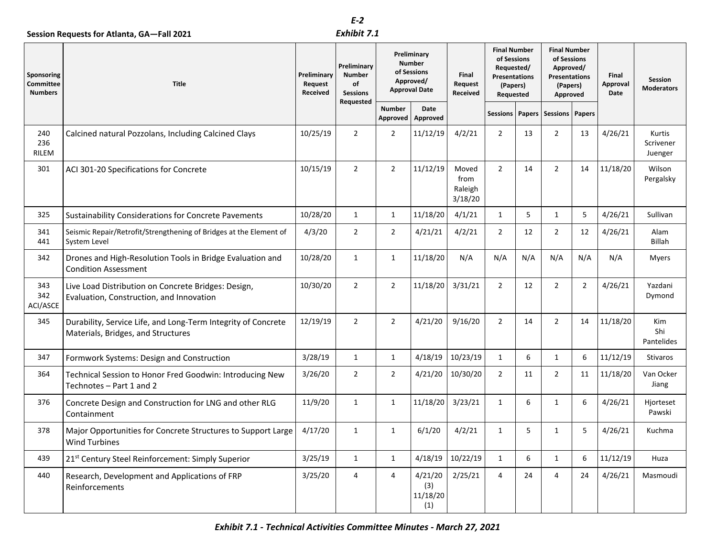|                                                  |                                                                                                     |                                    | E-2                                                                |                                                                                  |                                   |                                     |                |     |                              |                |          |                                |  |                              |                                                                                                   |  |                                                                                                 |  |                           |                                     |
|--------------------------------------------------|-----------------------------------------------------------------------------------------------------|------------------------------------|--------------------------------------------------------------------|----------------------------------------------------------------------------------|-----------------------------------|-------------------------------------|----------------|-----|------------------------------|----------------|----------|--------------------------------|--|------------------------------|---------------------------------------------------------------------------------------------------|--|-------------------------------------------------------------------------------------------------|--|---------------------------|-------------------------------------|
|                                                  | Session Requests for Atlanta, GA-Fall 2021                                                          |                                    | Exhibit 7.1                                                        |                                                                                  |                                   |                                     |                |     |                              |                |          |                                |  |                              |                                                                                                   |  |                                                                                                 |  |                           |                                     |
| Sponsoring<br><b>Committee</b><br><b>Numbers</b> | Title                                                                                               | Preliminary<br>Request<br>Received | Preliminary<br><b>Number</b><br>of<br><b>Sessions</b><br>Requested | Preliminary<br><b>Number</b><br>of Sessions<br>Approved/<br><b>Approval Date</b> |                                   |                                     |                |     |                              |                |          |                                |  | Final<br>Request<br>Received | <b>Final Number</b><br>of Sessions<br>Requested/<br><b>Presentations</b><br>(Papers)<br>Requested |  | <b>Final Number</b><br>of Sessions<br>Approved/<br><b>Presentations</b><br>(Papers)<br>Approved |  | Final<br>Approval<br>Date | <b>Session</b><br><b>Moderators</b> |
|                                                  |                                                                                                     |                                    |                                                                    | <b>Number</b><br>Approved                                                        | Date<br>Approved                  |                                     |                |     | Sessions   Papers   Sessions | Papers         |          |                                |  |                              |                                                                                                   |  |                                                                                                 |  |                           |                                     |
| 240<br>236<br>RILEM                              | Calcined natural Pozzolans, Including Calcined Clays                                                | 10/25/19                           | $\overline{2}$                                                     | $\overline{2}$                                                                   | 11/12/19                          | 4/2/21                              | $\overline{2}$ | 13  | $\overline{2}$               | 13             | 4/26/21  | Kurtis<br>Scrivener<br>Juenger |  |                              |                                                                                                   |  |                                                                                                 |  |                           |                                     |
| 301                                              | ACI 301-20 Specifications for Concrete                                                              | 10/15/19                           | $\overline{2}$                                                     | $\overline{2}$                                                                   | 11/12/19                          | Moved<br>from<br>Raleigh<br>3/18/20 | $\overline{2}$ | 14  | $\overline{2}$               | 14             | 11/18/20 | Wilson<br>Pergalsky            |  |                              |                                                                                                   |  |                                                                                                 |  |                           |                                     |
| 325                                              | <b>Sustainability Considerations for Concrete Pavements</b>                                         | 10/28/20                           | 1                                                                  | $\mathbf{1}$                                                                     | 11/18/20                          | 4/1/21                              | $\mathbf{1}$   | 5   | $\mathbf{1}$                 | 5              | 4/26/21  | Sullivan                       |  |                              |                                                                                                   |  |                                                                                                 |  |                           |                                     |
| 341<br>441                                       | Seismic Repair/Retrofit/Strengthening of Bridges at the Element of<br>System Level                  | 4/3/20                             | $\overline{2}$                                                     | $\overline{2}$                                                                   | 4/21/21                           | 4/2/21                              | $\overline{2}$ | 12  | $\overline{2}$               | 12             | 4/26/21  | Alam<br><b>Billah</b>          |  |                              |                                                                                                   |  |                                                                                                 |  |                           |                                     |
| 342                                              | Drones and High-Resolution Tools in Bridge Evaluation and<br><b>Condition Assessment</b>            | 10/28/20                           | $\mathbf{1}$                                                       | $\mathbf{1}$                                                                     | 11/18/20                          | N/A                                 | N/A            | N/A | N/A                          | N/A            | N/A      | <b>Myers</b>                   |  |                              |                                                                                                   |  |                                                                                                 |  |                           |                                     |
| 343<br>342<br>ACI/ASCE                           | Live Load Distribution on Concrete Bridges: Design,<br>Evaluation, Construction, and Innovation     | 10/30/20                           | $\overline{2}$                                                     | $\overline{2}$                                                                   | 11/18/20                          | 3/31/21                             | $\overline{2}$ | 12  | $\overline{2}$               | $\overline{2}$ | 4/26/21  | Yazdani<br>Dymond              |  |                              |                                                                                                   |  |                                                                                                 |  |                           |                                     |
| 345                                              | Durability, Service Life, and Long-Term Integrity of Concrete<br>Materials, Bridges, and Structures | 12/19/19                           | $\overline{2}$                                                     | $\overline{2}$                                                                   | 4/21/20                           | 9/16/20                             | $\overline{2}$ | 14  | $\overline{2}$               | 14             | 11/18/20 | Kim<br>Shi<br>Pantelides       |  |                              |                                                                                                   |  |                                                                                                 |  |                           |                                     |
| 347                                              | Formwork Systems: Design and Construction                                                           | 3/28/19                            | 1                                                                  | $\mathbf{1}$                                                                     | 4/18/19                           | 10/23/19                            | $\mathbf{1}$   | 6   | $\mathbf{1}$                 | 6              | 11/12/19 | <b>Stivaros</b>                |  |                              |                                                                                                   |  |                                                                                                 |  |                           |                                     |
| 364                                              | Technical Session to Honor Fred Goodwin: Introducing New<br>Technotes - Part 1 and 2                | 3/26/20                            | $\overline{2}$                                                     | $\overline{2}$                                                                   | 4/21/20                           | 10/30/20                            | $\overline{2}$ | 11  | $\overline{2}$               | 11             | 11/18/20 | Van Ocker<br>Jiang             |  |                              |                                                                                                   |  |                                                                                                 |  |                           |                                     |
| 376                                              | Concrete Design and Construction for LNG and other RLG<br>Containment                               | 11/9/20                            | $\mathbf{1}$                                                       | $\mathbf{1}$                                                                     | 11/18/20                          | 3/23/21                             | $\mathbf{1}$   | 6   | $\mathbf{1}$                 | 6              | 4/26/21  | Hiorteset<br>Pawski            |  |                              |                                                                                                   |  |                                                                                                 |  |                           |                                     |
| 378                                              | Major Opportunities for Concrete Structures to Support Large<br><b>Wind Turbines</b>                | 4/17/20                            | 1                                                                  | $\mathbf{1}$                                                                     | 6/1/20                            | 4/2/21                              | 1              | 5   | $\mathbf{1}$                 | 5              | 4/26/21  | Kuchma                         |  |                              |                                                                                                   |  |                                                                                                 |  |                           |                                     |
| 439                                              | 21 <sup>st</sup> Century Steel Reinforcement: Simply Superior                                       | 3/25/19                            | $\mathbf{1}$                                                       | $\mathbf{1}$                                                                     | 4/18/19                           | 10/22/19                            | $\mathbf{1}$   | 6   | $\mathbf{1}$                 | 6              | 11/12/19 | Huza                           |  |                              |                                                                                                   |  |                                                                                                 |  |                           |                                     |
| 440                                              | Research, Development and Applications of FRP<br>Reinforcements                                     | 3/25/20                            | 4                                                                  | 4                                                                                | 4/21/20<br>(3)<br>11/18/20<br>(1) | 2/25/21                             | 4              | 24  | 4                            | 24             | 4/26/21  | Masmoudi                       |  |                              |                                                                                                   |  |                                                                                                 |  |                           |                                     |
|                                                  | Exhibit 7.1 - Technical Activities Committee Minutes - March 27, 2021                               |                                    |                                                                    |                                                                                  |                                   |                                     |                |     |                              |                |          |                                |  |                              |                                                                                                   |  |                                                                                                 |  |                           |                                     |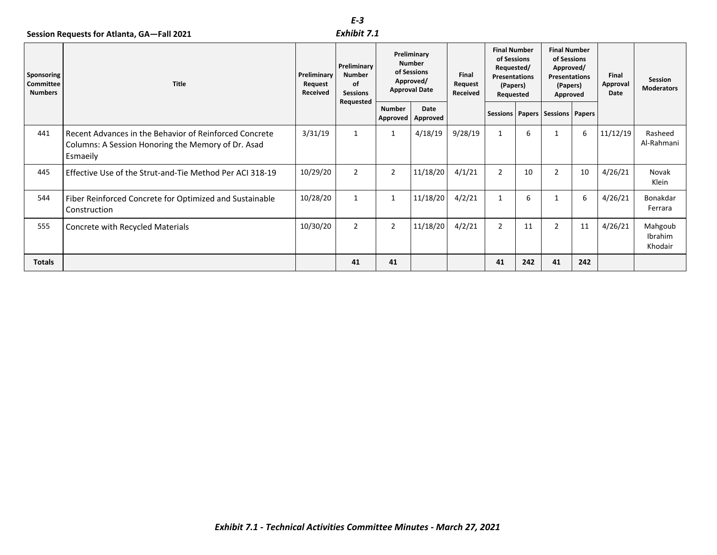#### *Exhibit 7.1*

|                                           |                                                                                                                          |                                    | E-3                                                          |                           |                                                                                  |         |                |                  |                                       |         |                              |                                                                                            |  |                                                                                          |  |                           |                              |
|-------------------------------------------|--------------------------------------------------------------------------------------------------------------------------|------------------------------------|--------------------------------------------------------------|---------------------------|----------------------------------------------------------------------------------|---------|----------------|------------------|---------------------------------------|---------|------------------------------|--------------------------------------------------------------------------------------------|--|------------------------------------------------------------------------------------------|--|---------------------------|------------------------------|
| Sponsoring<br>Committee<br><b>Numbers</b> | Session Requests for Atlanta, GA-Fall 2021<br><b>Title</b>                                                               | Preliminary<br>Request<br>Received | <b>Preliminary</b><br><b>Number</b><br>of<br><b>Sessions</b> |                           | Preliminary<br><b>Number</b><br>of Sessions<br>Approved/<br><b>Approval Date</b> |         | Exhibit 7.1    |                  |                                       |         | Final<br>Request<br>Received | <b>Final Number</b><br>of Sessions<br>Requested/<br>Presentations<br>(Papers)<br>Requested |  | <b>Final Number</b><br>of Sessions<br>Approved/<br>Presentations<br>(Papers)<br>Approved |  | Final<br>Approval<br>Date | Session<br><b>Moderators</b> |
|                                           |                                                                                                                          |                                    | Requested                                                    | <b>Number</b><br>Approved | Date<br>Approved                                                                 |         |                |                  | Sessions   Papers   Sessions   Papers |         |                              |                                                                                            |  |                                                                                          |  |                           |                              |
| 441                                       | Recent Advances in the Behavior of Reinforced Concrete<br>Columns: A Session Honoring the Memory of Dr. Asad<br>Esmaeily | 3/31/19                            | $\mathbf{1}$                                                 | $\mathbf{1}$              | 4/18/19                                                                          | 9/28/19 | $\mathbf{1}$   | $\boldsymbol{6}$ | $\mathbf{1}$                          | $\,6\,$ | 11/12/19                     | Rasheed<br>Al-Rahmani                                                                      |  |                                                                                          |  |                           |                              |
| 445                                       | Effective Use of the Strut-and-Tie Method Per ACI 318-19                                                                 | 10/29/20                           | $\overline{2}$                                               | $\overline{2}$            | 11/18/20                                                                         | 4/1/21  | $\overline{2}$ | 10               | $\overline{2}$                        | 10      | 4/26/21                      | Novak<br>Klein                                                                             |  |                                                                                          |  |                           |                              |
| 544                                       | Fiber Reinforced Concrete for Optimized and Sustainable<br>Construction                                                  | 10/28/20                           | $\mathbf{1}$                                                 | $\mathbf{1}$              | 11/18/20                                                                         | 4/2/21  | $\mathbf{1}$   | 6                | $\mathbf{1}$                          | $\,6\,$ | 4/26/21                      | Bonakdar<br>Ferrara                                                                        |  |                                                                                          |  |                           |                              |
| 555                                       | Concrete with Recycled Materials                                                                                         | 10/30/20                           | $\overline{2}$                                               | $\overline{2}$            | 11/18/20                                                                         | 4/2/21  | $\overline{2}$ | 11               | $\overline{2}$                        | 11      | 4/26/21                      | Mahgoub<br>Ibrahim<br>Khodair                                                              |  |                                                                                          |  |                           |                              |
| <b>Totals</b>                             |                                                                                                                          |                                    | 41                                                           | 41                        |                                                                                  |         | 41             | 242              | 41                                    | 242     |                              |                                                                                            |  |                                                                                          |  |                           |                              |
|                                           |                                                                                                                          |                                    |                                                              |                           |                                                                                  |         |                |                  |                                       |         |                              |                                                                                            |  |                                                                                          |  |                           |                              |
|                                           | Exhibit 7.1 - Technical Activities Committee Minutes - March 27, 2021                                                    |                                    |                                                              |                           |                                                                                  |         |                |                  |                                       |         |                              |                                                                                            |  |                                                                                          |  |                           |                              |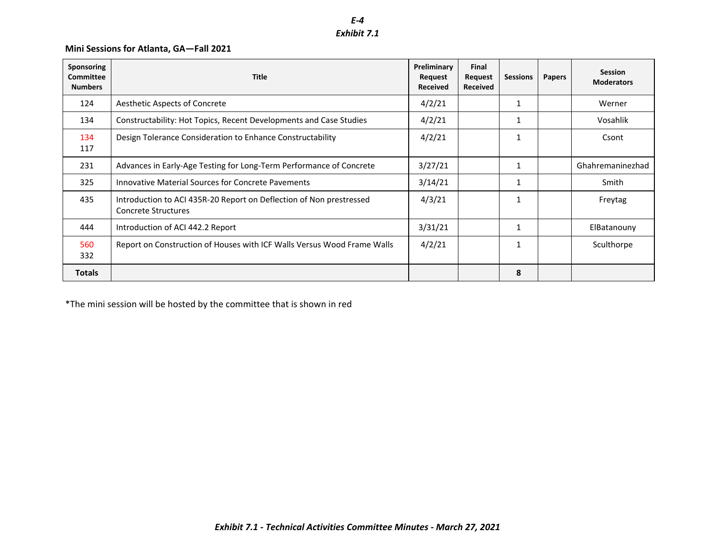# *Exhibit 7.1*

### **Mini Sessions for Atlanta, GA—Fall 2021**

| Aesthetic Aspects of Concrete<br>Constructability: Hot Topics, Recent Developments and Case Studies<br>Design Tolerance Consideration to Enhance Constructability<br>Advances in Early-Age Testing for Long-Term Performance of Concrete<br>Innovative Material Sources for Concrete Pavements<br>Introduction to ACI 435R-20 Report on Deflection of Non prestressed<br><b>Concrete Structures</b><br>Introduction of ACI 442.2 Report<br>Report on Construction of Houses with ICF Walls Versus Wood Frame Walls | 4/2/21<br>4/2/21<br>4/2/21<br>3/27/21<br>3/14/21<br>4/3/21<br>3/31/21<br>4/2/21 | $\mathbf{1}$<br>$\mathbf{1}$<br>$\mathbf{1}$<br>$\mathbf{1}$<br>$\mathbf{1}$<br>$\mathbf{1}$<br>$\mathbf{1}$ | Werner<br>Vosahlik<br>Csont<br>Ghahremaninezhad<br>Smith<br>Freytag<br>ElBatanouny |
|--------------------------------------------------------------------------------------------------------------------------------------------------------------------------------------------------------------------------------------------------------------------------------------------------------------------------------------------------------------------------------------------------------------------------------------------------------------------------------------------------------------------|---------------------------------------------------------------------------------|--------------------------------------------------------------------------------------------------------------|------------------------------------------------------------------------------------|
|                                                                                                                                                                                                                                                                                                                                                                                                                                                                                                                    |                                                                                 |                                                                                                              |                                                                                    |
|                                                                                                                                                                                                                                                                                                                                                                                                                                                                                                                    |                                                                                 |                                                                                                              |                                                                                    |
|                                                                                                                                                                                                                                                                                                                                                                                                                                                                                                                    |                                                                                 |                                                                                                              |                                                                                    |
|                                                                                                                                                                                                                                                                                                                                                                                                                                                                                                                    |                                                                                 |                                                                                                              |                                                                                    |
|                                                                                                                                                                                                                                                                                                                                                                                                                                                                                                                    |                                                                                 |                                                                                                              |                                                                                    |
|                                                                                                                                                                                                                                                                                                                                                                                                                                                                                                                    |                                                                                 |                                                                                                              |                                                                                    |
|                                                                                                                                                                                                                                                                                                                                                                                                                                                                                                                    |                                                                                 |                                                                                                              |                                                                                    |
|                                                                                                                                                                                                                                                                                                                                                                                                                                                                                                                    |                                                                                 | $\mathbf{1}$                                                                                                 | Sculthorpe                                                                         |
|                                                                                                                                                                                                                                                                                                                                                                                                                                                                                                                    |                                                                                 | 8                                                                                                            |                                                                                    |
|                                                                                                                                                                                                                                                                                                                                                                                                                                                                                                                    |                                                                                 |                                                                                                              |                                                                                    |
|                                                                                                                                                                                                                                                                                                                                                                                                                                                                                                                    | *The mini session will be hosted by the committee that is shown in red          |                                                                                                              |                                                                                    |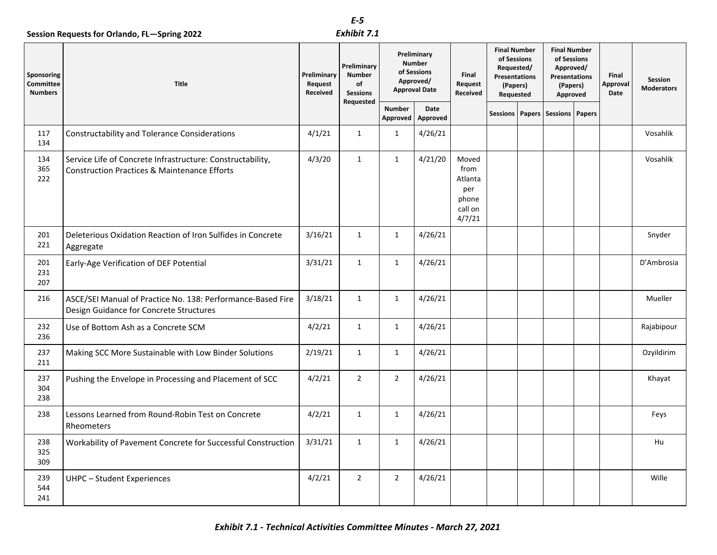|                                           | Session Requests for Orlando, FL-Spring 2022                                                                          |                                    | E-5<br>Exhibit 7.1                                                 |                                                                                  |                  |                                                               |                                                                                                   |  |                                                                                          |  |                                  |                              |
|-------------------------------------------|-----------------------------------------------------------------------------------------------------------------------|------------------------------------|--------------------------------------------------------------------|----------------------------------------------------------------------------------|------------------|---------------------------------------------------------------|---------------------------------------------------------------------------------------------------|--|------------------------------------------------------------------------------------------|--|----------------------------------|------------------------------|
| Sponsoring<br>Committee<br><b>Numbers</b> | <b>Title</b>                                                                                                          | Preliminary<br>Request<br>Received | Preliminary<br><b>Number</b><br>of<br><b>Sessions</b><br>Requested | Preliminary<br><b>Number</b><br>of Sessions<br>Approved/<br><b>Approval Date</b> |                  | Final<br>Request<br>Received                                  | <b>Final Number</b><br>of Sessions<br>Requested/<br><b>Presentations</b><br>(Papers)<br>Requested |  | <b>Final Number</b><br>of Sessions<br>Approved/<br>Presentations<br>(Papers)<br>Approved |  | Final<br><b>Approval</b><br>Date | Session<br><b>Moderators</b> |
|                                           |                                                                                                                       |                                    |                                                                    | <b>Number</b><br>Approved                                                        | Date<br>Approved |                                                               | <b>Sessions</b>                                                                                   |  | Papers   Sessions   Papers                                                               |  |                                  |                              |
| 117<br>134                                | <b>Constructability and Tolerance Considerations</b>                                                                  | 4/1/21                             | $\mathbf{1}$                                                       | $\mathbf{1}$                                                                     | 4/26/21          |                                                               |                                                                                                   |  |                                                                                          |  |                                  | Vosahlik                     |
| 134<br>365<br>222                         | Service Life of Concrete Infrastructure: Constructability,<br><b>Construction Practices &amp; Maintenance Efforts</b> | 4/3/20                             | $\mathbf{1}$                                                       | $\mathbf{1}$                                                                     | 4/21/20          | Moved<br>from<br>Atlanta<br>per<br>phone<br>call on<br>4/7/21 |                                                                                                   |  |                                                                                          |  |                                  | Vosahlik                     |
| 201<br>221                                | Deleterious Oxidation Reaction of Iron Sulfides in Concrete<br>Aggregate                                              | 3/16/21                            | $\mathbf{1}$                                                       | $\mathbf{1}$                                                                     | 4/26/21          |                                                               |                                                                                                   |  |                                                                                          |  |                                  | Snyder                       |
| 201<br>231<br>207                         | Early-Age Verification of DEF Potential                                                                               | 3/31/21                            | $\mathbf{1}$                                                       | $\mathbf{1}$                                                                     | 4/26/21          |                                                               |                                                                                                   |  |                                                                                          |  |                                  | D'Ambrosia                   |
| 216                                       | ASCE/SEI Manual of Practice No. 138: Performance-Based Fire<br>Design Guidance for Concrete Structures                | 3/18/21                            | $\mathbf{1}$                                                       | $\mathbf{1}$                                                                     | 4/26/21          |                                                               |                                                                                                   |  |                                                                                          |  |                                  | Mueller                      |
| 232<br>236                                | Use of Bottom Ash as a Concrete SCM                                                                                   | 4/2/21                             | $\mathbf{1}$                                                       | $\mathbf{1}$                                                                     | 4/26/21          |                                                               |                                                                                                   |  |                                                                                          |  |                                  | Rajabipour                   |
| 237<br>211                                | Making SCC More Sustainable with Low Binder Solutions                                                                 | 2/19/21                            | $\mathbf{1}$                                                       | $\mathbf{1}$                                                                     | 4/26/21          |                                                               |                                                                                                   |  |                                                                                          |  |                                  | Ozyildirim                   |
| 237<br>304<br>238                         | Pushing the Envelope in Processing and Placement of SCC                                                               | 4/2/21                             | $\overline{2}$                                                     | $\overline{2}$                                                                   | 4/26/21          |                                                               |                                                                                                   |  |                                                                                          |  |                                  | Khayat                       |
| 238                                       | Lessons Learned from Round-Robin Test on Concrete<br>Rheometers                                                       | 4/2/21                             | $\mathbf{1}$                                                       | $\mathbf{1}$                                                                     | 4/26/21          |                                                               |                                                                                                   |  |                                                                                          |  |                                  | Feys                         |
| 238<br>325<br>309                         | Workability of Pavement Concrete for Successful Construction                                                          | 3/31/21                            | $\mathbf{1}$                                                       | $\mathbf{1}$                                                                     | 4/26/21          |                                                               |                                                                                                   |  |                                                                                          |  |                                  | Hu                           |
| 239<br>544<br>241                         | <b>UHPC - Student Experiences</b>                                                                                     | 4/2/21                             | $\overline{2}$                                                     | $\overline{2}$                                                                   | 4/26/21          |                                                               |                                                                                                   |  |                                                                                          |  |                                  | Wille                        |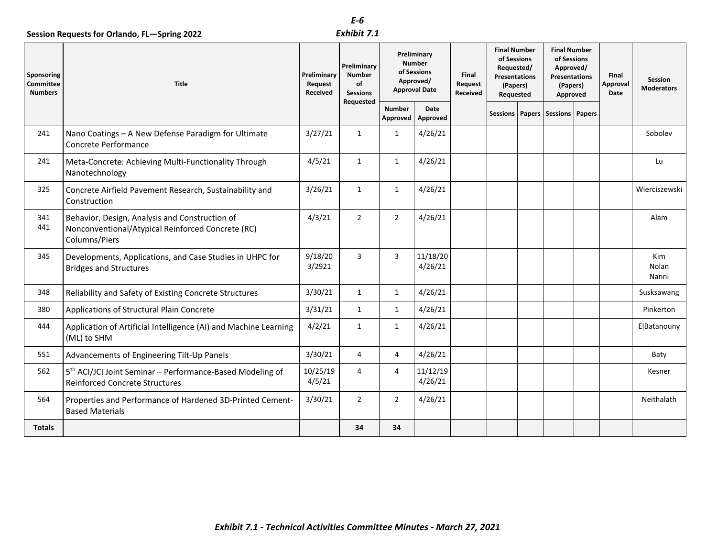### *Exhibit 7.1*

|                                                  | Session Requests for Orlando, FL-Spring 2022                                                                         |                                    | E-6<br>Exhibit 7.1                                                 |                                                                                  |                     |                              |                                                                                                   |  |                                                                                                 |  |                           |                                     |
|--------------------------------------------------|----------------------------------------------------------------------------------------------------------------------|------------------------------------|--------------------------------------------------------------------|----------------------------------------------------------------------------------|---------------------|------------------------------|---------------------------------------------------------------------------------------------------|--|-------------------------------------------------------------------------------------------------|--|---------------------------|-------------------------------------|
| Sponsoring<br><b>Committee</b><br><b>Numbers</b> | Title                                                                                                                | Preliminary<br>Request<br>Received | Preliminary<br><b>Number</b><br>of<br><b>Sessions</b><br>Requested | Preliminary<br><b>Number</b><br>of Sessions<br>Approved/<br><b>Approval Date</b> |                     | Final<br>Request<br>Received | <b>Final Number</b><br>of Sessions<br>Requested/<br><b>Presentations</b><br>(Papers)<br>Requested |  | <b>Final Number</b><br>of Sessions<br>Approved/<br><b>Presentations</b><br>(Papers)<br>Approved |  | Final<br>Approval<br>Date | <b>Session</b><br><b>Moderators</b> |
|                                                  |                                                                                                                      |                                    |                                                                    | <b>Number</b><br>Approved                                                        | Date<br>Approved    |                              | Sessions                                                                                          |  | Papers Sessions Papers                                                                          |  |                           |                                     |
| 241                                              | Nano Coatings - A New Defense Paradigm for Ultimate<br>Concrete Performance                                          | 3/27/21                            | $\mathbf{1}$                                                       | $\mathbf{1}$                                                                     | 4/26/21             |                              |                                                                                                   |  |                                                                                                 |  |                           | Sobolev                             |
| 241                                              | Meta-Concrete: Achieving Multi-Functionality Through<br>Nanotechnology                                               | 4/5/21                             | 1                                                                  | $\mathbf{1}$                                                                     | 4/26/21             |                              |                                                                                                   |  |                                                                                                 |  |                           | Lu                                  |
| 325                                              | Concrete Airfield Pavement Research, Sustainability and<br>Construction                                              | 3/26/21                            | $\mathbf{1}$                                                       | $\mathbf{1}$                                                                     | 4/26/21             |                              |                                                                                                   |  |                                                                                                 |  |                           | Wierciszewski                       |
| 341<br>441                                       | Behavior, Design, Analysis and Construction of<br>Nonconventional/Atypical Reinforced Concrete (RC)<br>Columns/Piers | 4/3/21                             | $\overline{2}$                                                     | $\overline{2}$                                                                   | 4/26/21             |                              |                                                                                                   |  |                                                                                                 |  |                           | Alam                                |
| 345                                              | Developments, Applications, and Case Studies in UHPC for<br><b>Bridges and Structures</b>                            | 9/18/20<br>3/2921                  | 3                                                                  | 3                                                                                | 11/18/20<br>4/26/21 |                              |                                                                                                   |  |                                                                                                 |  |                           | Kim<br>Nolan<br>Nanni               |
| 348                                              | Reliability and Safety of Existing Concrete Structures                                                               | 3/30/21                            | $\mathbf{1}$                                                       | $\mathbf{1}$                                                                     | 4/26/21             |                              |                                                                                                   |  |                                                                                                 |  |                           | Susksawang                          |
| 380                                              | Applications of Structural Plain Concrete                                                                            | 3/31/21                            | $\mathbf{1}$                                                       | $\mathbf{1}$                                                                     | 4/26/21             |                              |                                                                                                   |  |                                                                                                 |  |                           | Pinkerton                           |
| 444                                              | Application of Artificial Intelligence (AI) and Machine Learning<br>(ML) to SHM                                      | 4/2/21                             | $\mathbf{1}$                                                       | $\mathbf{1}$                                                                     | 4/26/21             |                              |                                                                                                   |  |                                                                                                 |  |                           | ElBatanouny                         |
| 551                                              | Advancements of Engineering Tilt-Up Panels                                                                           | 3/30/21                            | $\overline{4}$                                                     | $\overline{4}$                                                                   | 4/26/21             |                              |                                                                                                   |  |                                                                                                 |  |                           | Baty                                |
| 562                                              | 5 <sup>th</sup> ACI/JCI Joint Seminar - Performance-Based Modeling of<br><b>Reinforced Concrete Structures</b>       | 10/25/19<br>4/5/21                 | $\overline{4}$                                                     | $\overline{4}$                                                                   | 11/12/19<br>4/26/21 |                              |                                                                                                   |  |                                                                                                 |  |                           | Kesner                              |
| 564                                              | Properties and Performance of Hardened 3D-Printed Cement-<br><b>Based Materials</b>                                  | 3/30/21                            | $\overline{2}$                                                     | $\overline{2}$                                                                   | 4/26/21             |                              |                                                                                                   |  |                                                                                                 |  |                           | Neithalath                          |
| Totals                                           |                                                                                                                      |                                    | 34                                                                 | 34                                                                               |                     |                              |                                                                                                   |  |                                                                                                 |  |                           |                                     |
|                                                  | Exhibit 7.1 - Technical Activities Committee Minutes - March 27, 2021                                                |                                    |                                                                    |                                                                                  |                     |                              |                                                                                                   |  |                                                                                                 |  |                           |                                     |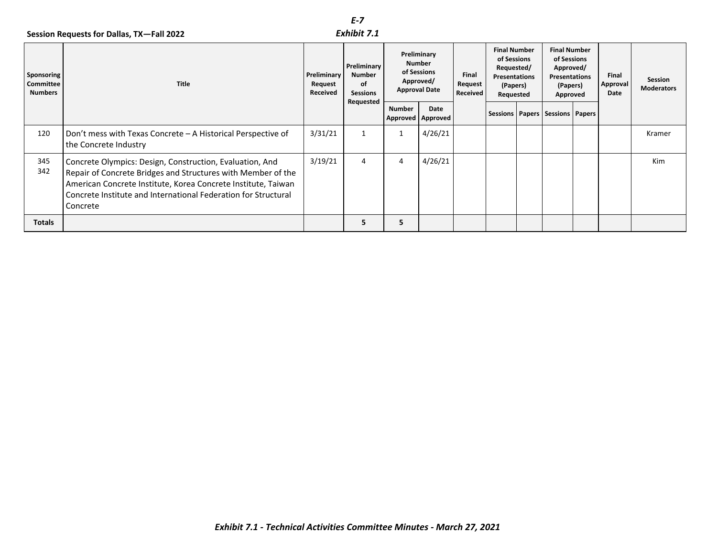### *Exhibit 7.1*

|                                           |                                                                                                                                                                                                                                                                         |                                    | $E - 7$                                                            |                                                                   |                  |                              |                                                                     |  |                                                    |  |                           |                              |
|-------------------------------------------|-------------------------------------------------------------------------------------------------------------------------------------------------------------------------------------------------------------------------------------------------------------------------|------------------------------------|--------------------------------------------------------------------|-------------------------------------------------------------------|------------------|------------------------------|---------------------------------------------------------------------|--|----------------------------------------------------|--|---------------------------|------------------------------|
|                                           | Session Requests for Dallas, TX-Fall 2022                                                                                                                                                                                                                               |                                    | Exhibit 7.1                                                        |                                                                   | Preliminary      |                              | <b>Final Number</b>                                                 |  | <b>Final Number</b><br>of Sessions                 |  |                           |                              |
| Sponsoring<br>Committee<br><b>Numbers</b> | <b>Title</b>                                                                                                                                                                                                                                                            | Preliminary<br>Request<br>Received | Preliminary<br><b>Number</b><br>of<br><b>Sessions</b><br>Requested | <b>Number</b><br>of Sessions<br>Approved/<br><b>Approval Date</b> |                  | Final<br>Request<br>Received | of Sessions<br>Requested/<br>Presentations<br>(Papers)<br>Requested |  | Approved/<br>Presentations<br>(Papers)<br>Approved |  | Final<br>Approval<br>Date | Session<br><b>Moderators</b> |
|                                           |                                                                                                                                                                                                                                                                         |                                    |                                                                    | <b>Number</b><br>Approved                                         | Date<br>Approved |                              |                                                                     |  | Sessions   Papers   Sessions   Papers              |  |                           |                              |
| 120                                       | Don't mess with Texas Concrete - A Historical Perspective of<br>the Concrete Industry                                                                                                                                                                                   | 3/31/21                            | $\mathbf{1}$                                                       | $\mathbf{1}$                                                      | 4/26/21          |                              |                                                                     |  |                                                    |  |                           | Kramer                       |
| 345<br>342                                | Concrete Olympics: Design, Construction, Evaluation, And<br>Repair of Concrete Bridges and Structures with Member of the<br>American Concrete Institute, Korea Concrete Institute, Taiwan<br>Concrete Institute and International Federation for Structural<br>Concrete | 3/19/21                            | 4                                                                  | $\overline{4}$                                                    | 4/26/21          |                              |                                                                     |  |                                                    |  |                           | Kim                          |
| <b>Totals</b>                             |                                                                                                                                                                                                                                                                         |                                    | 5                                                                  | 5                                                                 |                  |                              |                                                                     |  |                                                    |  |                           |                              |
|                                           |                                                                                                                                                                                                                                                                         |                                    |                                                                    |                                                                   |                  |                              |                                                                     |  |                                                    |  |                           |                              |
|                                           | Exhibit 7.1 - Technical Activities Committee Minutes - March 27, 2021                                                                                                                                                                                                   |                                    |                                                                    |                                                                   |                  |                              |                                                                     |  |                                                    |  |                           |                              |